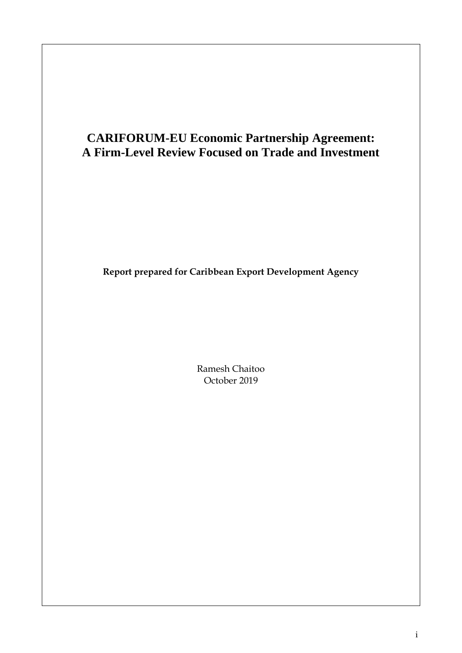## **CARIFORUM-EU Economic Partnership Agreement: A Firm-Level Review Focused on Trade and Investment**

**Report prepared for Caribbean Export Development Agency**

Ramesh Chaitoo October 2019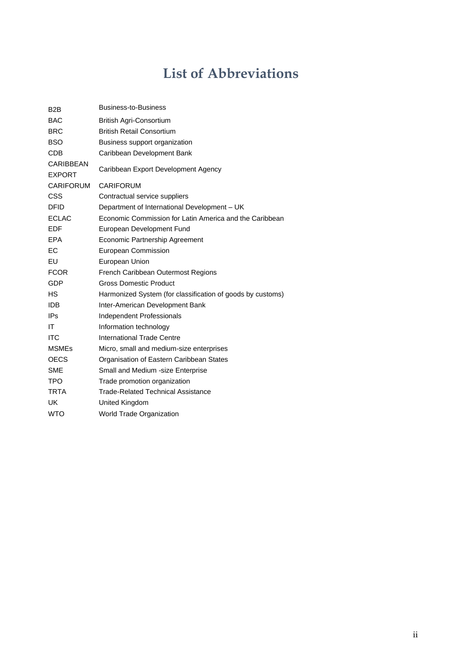# **List of Abbreviations**

| B <sub>2</sub> B | <b>Business-to-Business</b>                                |
|------------------|------------------------------------------------------------|
| <b>BAC</b>       | British Agri-Consortium                                    |
| <b>BRC</b>       | <b>British Retail Consortium</b>                           |
| <b>BSO</b>       | Business support organization                              |
| <b>CDB</b>       | Caribbean Development Bank                                 |
| <b>CARIBBEAN</b> | Caribbean Export Development Agency                        |
| <b>EXPORT</b>    |                                                            |
| <b>CARIFORUM</b> | <b>CARIFORUM</b>                                           |
| <b>CSS</b>       | Contractual service suppliers                              |
| <b>DFID</b>      | Department of International Development - UK               |
| <b>ECLAC</b>     | Economic Commission for Latin America and the Caribbean    |
| <b>EDF</b>       | European Development Fund                                  |
| <b>EPA</b>       | Economic Partnership Agreement                             |
| ЕC               | European Commission                                        |
| EU               | European Union                                             |
| <b>FCOR</b>      | French Caribbean Outermost Regions                         |
| GDP              | <b>Gross Domestic Product</b>                              |
| НS               | Harmonized System (for classification of goods by customs) |
| <b>IDB</b>       | Inter-American Development Bank                            |
| IP <sub>S</sub>  | Independent Professionals                                  |
| ΙT               | Information technology                                     |
| <b>ITC</b>       | <b>International Trade Centre</b>                          |
| <b>MSMEs</b>     | Micro, small and medium-size enterprises                   |
| <b>OECS</b>      | Organisation of Eastern Caribbean States                   |
| <b>SME</b>       | Small and Medium -size Enterprise                          |
| <b>TPO</b>       | Trade promotion organization                               |
| TRTA             | <b>Trade-Related Technical Assistance</b>                  |
| UK               | United Kingdom                                             |
| <b>WTO</b>       | <b>World Trade Organization</b>                            |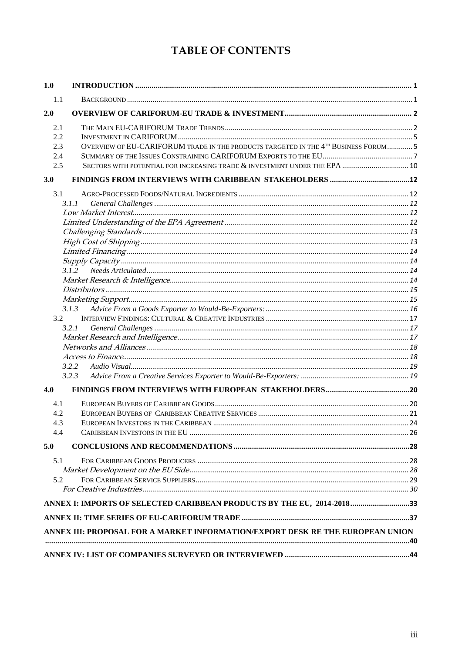## TABLE OF CONTENTS

| 1.1<br>2.1<br>2.2<br>OVERVIEW OF EU-CARIFORUM TRADE IN THE PRODUCTS TARGETED IN THE 4TH BUSINESS FORUM 5<br>2.3<br>2.4<br>SECTORS WITH POTENTIAL FOR INCREASING TRADE & INVESTMENT UNDER THE EPA  10<br>2.5<br>3.1<br>3.1.1<br>3.1.2<br>3.1.3<br>3.2<br>3.2.1<br>3.2.2<br>3.2.3<br>4.0<br>4.1<br>4.2<br>4.3<br>4.4<br>5.0<br>5.1<br>5.2<br>ANNEX I: IMPORTS OF SELECTED CARIBBEAN PRODUCTS BY THE EU, 2014-201833<br>ANNEX III: PROPOSAL FOR A MARKET INFORMATION/EXPORT DESK RE THE EUROPEAN UNION | 1.0 |  |
|-----------------------------------------------------------------------------------------------------------------------------------------------------------------------------------------------------------------------------------------------------------------------------------------------------------------------------------------------------------------------------------------------------------------------------------------------------------------------------------------------------|-----|--|
|                                                                                                                                                                                                                                                                                                                                                                                                                                                                                                     |     |  |
|                                                                                                                                                                                                                                                                                                                                                                                                                                                                                                     | 2.0 |  |
|                                                                                                                                                                                                                                                                                                                                                                                                                                                                                                     |     |  |
|                                                                                                                                                                                                                                                                                                                                                                                                                                                                                                     |     |  |
|                                                                                                                                                                                                                                                                                                                                                                                                                                                                                                     |     |  |
|                                                                                                                                                                                                                                                                                                                                                                                                                                                                                                     |     |  |
|                                                                                                                                                                                                                                                                                                                                                                                                                                                                                                     |     |  |
|                                                                                                                                                                                                                                                                                                                                                                                                                                                                                                     | 3.0 |  |
|                                                                                                                                                                                                                                                                                                                                                                                                                                                                                                     |     |  |
|                                                                                                                                                                                                                                                                                                                                                                                                                                                                                                     |     |  |
|                                                                                                                                                                                                                                                                                                                                                                                                                                                                                                     |     |  |
|                                                                                                                                                                                                                                                                                                                                                                                                                                                                                                     |     |  |
|                                                                                                                                                                                                                                                                                                                                                                                                                                                                                                     |     |  |
|                                                                                                                                                                                                                                                                                                                                                                                                                                                                                                     |     |  |
|                                                                                                                                                                                                                                                                                                                                                                                                                                                                                                     |     |  |
|                                                                                                                                                                                                                                                                                                                                                                                                                                                                                                     |     |  |
|                                                                                                                                                                                                                                                                                                                                                                                                                                                                                                     |     |  |
|                                                                                                                                                                                                                                                                                                                                                                                                                                                                                                     |     |  |
|                                                                                                                                                                                                                                                                                                                                                                                                                                                                                                     |     |  |
|                                                                                                                                                                                                                                                                                                                                                                                                                                                                                                     |     |  |
|                                                                                                                                                                                                                                                                                                                                                                                                                                                                                                     |     |  |
|                                                                                                                                                                                                                                                                                                                                                                                                                                                                                                     |     |  |
|                                                                                                                                                                                                                                                                                                                                                                                                                                                                                                     |     |  |
|                                                                                                                                                                                                                                                                                                                                                                                                                                                                                                     |     |  |
|                                                                                                                                                                                                                                                                                                                                                                                                                                                                                                     |     |  |
|                                                                                                                                                                                                                                                                                                                                                                                                                                                                                                     |     |  |
|                                                                                                                                                                                                                                                                                                                                                                                                                                                                                                     |     |  |
|                                                                                                                                                                                                                                                                                                                                                                                                                                                                                                     |     |  |
|                                                                                                                                                                                                                                                                                                                                                                                                                                                                                                     |     |  |
|                                                                                                                                                                                                                                                                                                                                                                                                                                                                                                     |     |  |
|                                                                                                                                                                                                                                                                                                                                                                                                                                                                                                     |     |  |
|                                                                                                                                                                                                                                                                                                                                                                                                                                                                                                     |     |  |
|                                                                                                                                                                                                                                                                                                                                                                                                                                                                                                     |     |  |
|                                                                                                                                                                                                                                                                                                                                                                                                                                                                                                     |     |  |
|                                                                                                                                                                                                                                                                                                                                                                                                                                                                                                     |     |  |
|                                                                                                                                                                                                                                                                                                                                                                                                                                                                                                     |     |  |
|                                                                                                                                                                                                                                                                                                                                                                                                                                                                                                     |     |  |
|                                                                                                                                                                                                                                                                                                                                                                                                                                                                                                     |     |  |
|                                                                                                                                                                                                                                                                                                                                                                                                                                                                                                     |     |  |
|                                                                                                                                                                                                                                                                                                                                                                                                                                                                                                     |     |  |
|                                                                                                                                                                                                                                                                                                                                                                                                                                                                                                     |     |  |
|                                                                                                                                                                                                                                                                                                                                                                                                                                                                                                     |     |  |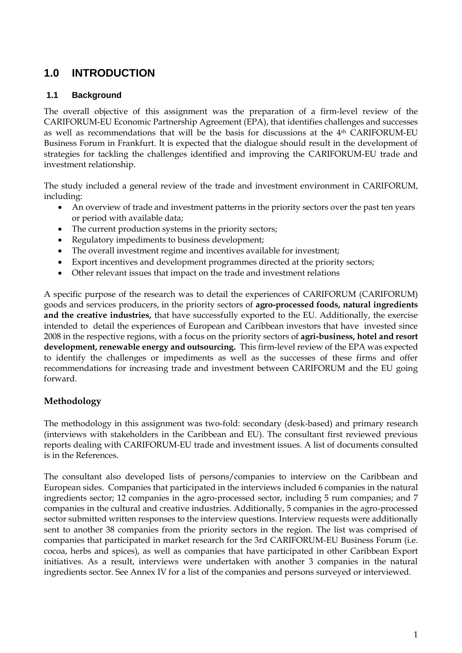## <span id="page-3-0"></span>**1.0 INTRODUCTION**

### <span id="page-3-1"></span>**1.1 Background**

The overall objective of this assignment was the preparation of a firm-level review of the CARIFORUM-EU Economic Partnership Agreement (EPA), that identifies challenges and successes as well as recommendations that will be the basis for discussions at the 4th CARIFORUM-EU Business Forum in Frankfurt. It is expected that the dialogue should result in the development of strategies for tackling the challenges identified and improving the CARIFORUM-EU trade and investment relationship.

The study included a general review of the trade and investment environment in CARIFORUM, including:

- An overview of trade and investment patterns in the priority sectors over the past ten years or period with available data;
- The current production systems in the priority sectors;
- Regulatory impediments to business development;
- The overall investment regime and incentives available for investment;
- Export incentives and development programmes directed at the priority sectors;
- Other relevant issues that impact on the trade and investment relations

A specific purpose of the research was to detail the experiences of CARIFORUM (CARIFORUM) goods and services producers, in the priority sectors of **agro-processed foods, natural ingredients and the creative industries,** that have successfully exported to the EU. Additionally, the exercise intended to detail the experiences of European and Caribbean investors that have invested since 2008 in the respective regions, with a focus on the priority sectors of **agri-business, hotel and resort development, renewable energy and outsourcing.** This firm-level review of the EPA was expected to identify the challenges or impediments as well as the successes of these firms and offer recommendations for increasing trade and investment between CARIFORUM and the EU going forward.

## **Methodology**

The methodology in this assignment was two-fold: secondary (desk-based) and primary research (interviews with stakeholders in the Caribbean and EU). The consultant first reviewed previous reports dealing with CARIFORUM-EU trade and investment issues. A list of documents consulted is in the References.

The consultant also developed lists of persons/companies to interview on the Caribbean and European sides. Companies that participated in the interviews included 6 companies in the natural ingredients sector; 12 companies in the agro-processed sector, including 5 rum companies; and 7 companies in the cultural and creative industries. Additionally, 5 companies in the agro-processed sector submitted written responses to the interview questions. Interview requests were additionally sent to another 38 companies from the priority sectors in the region. The list was comprised of companies that participated in market research for the 3rd CARIFORUM-EU Business Forum (i.e. cocoa, herbs and spices), as well as companies that have participated in other Caribbean Export initiatives. As a result, interviews were undertaken with another 3 companies in the natural ingredients sector. See Annex IV for a list of the companies and persons surveyed or interviewed.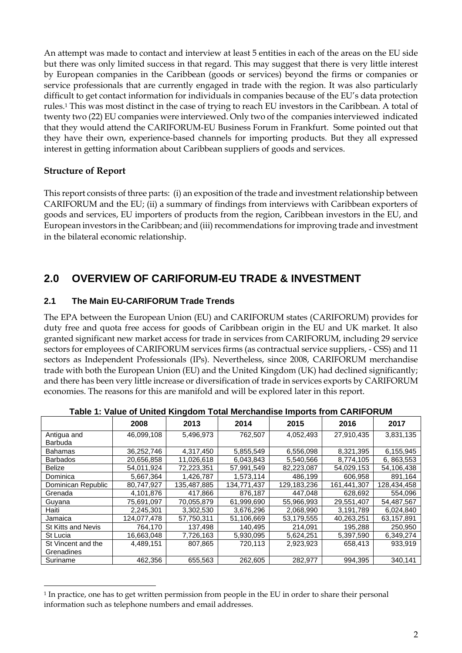An attempt was made to contact and interview at least 5 entities in each of the areas on the EU side but there was only limited success in that regard. This may suggest that there is very little interest by European companies in the Caribbean (goods or services) beyond the firms or companies or service professionals that are currently engaged in trade with the region. It was also particularly difficult to get contact information for individuals in companies because of the EU's data protection rules.<sup>1</sup> This was most distinct in the case of trying to reach EU investors in the Caribbean. A total of twenty two (22) EU companies were interviewed. Only two of the companies interviewed indicated that they would attend the CARIFORUM-EU Business Forum in Frankfurt. Some pointed out that they have their own, experience-based channels for importing products. But they all expressed interest in getting information about Caribbean suppliers of goods and services.

### **Structure of Report**

This report consists of three parts: (i) an exposition of the trade and investment relationship between CARIFORUM and the EU; (ii) a summary of findings from interviews with Caribbean exporters of goods and services, EU importers of products from the region, Caribbean investors in the EU, and European investors in the Caribbean; and (iii) recommendations for improving trade and investment in the bilateral economic relationship.

## <span id="page-4-0"></span>**2.0 OVERVIEW OF CARIFORUM-EU TRADE & INVESTMENT**

#### <span id="page-4-1"></span>**2.1 The Main EU-CARIFORUM Trade Trends**

The EPA between the European Union (EU) and CARIFORUM states (CARIFORUM) provides for duty free and quota free access for goods of Caribbean origin in the EU and UK market. It also granted significant new market access for trade in services from CARIFORUM, including 29 service sectors for employees of CARIFORUM services firms (as contractual service suppliers, - CSS) and 11 sectors as Independent Professionals (IPs). Nevertheless, since 2008, CARIFORUM merchandise trade with both the European Union (EU) and the United Kingdom (UK) had declined significantly; and there has been very little increase or diversification of trade in services exports by CARIFORUM economies. The reasons for this are manifold and will be explored later in this report.

|                    | rable 1. value of United Ringdom Total Merchandise imports from OARIFOROM |             |             |             |             |             |  |  |  |  |  |  |
|--------------------|---------------------------------------------------------------------------|-------------|-------------|-------------|-------------|-------------|--|--|--|--|--|--|
|                    | 2008                                                                      | 2013        | 2014        | 2015        | 2016        | 2017        |  |  |  |  |  |  |
| Antigua and        | 46,099,108                                                                | 5,496,973   | 762,507     | 4,052,493   | 27,910,435  | 3,831,135   |  |  |  |  |  |  |
| <b>Barbuda</b>     |                                                                           |             |             |             |             |             |  |  |  |  |  |  |
| <b>Bahamas</b>     | 36,252,746                                                                | 4,317,450   | 5,855,549   | 6,556,098   | 8,321,395   | 6,155,945   |  |  |  |  |  |  |
| <b>Barbados</b>    | 20,656,858                                                                | 11,026,618  | 6,043,843   | 5,540,566   | 8,774,105   | 6, 863, 553 |  |  |  |  |  |  |
| <b>Belize</b>      | 54,011,924                                                                | 72,223,351  | 57,991,549  | 82,223,087  | 54,029,153  | 54,106,438  |  |  |  |  |  |  |
| Dominica           | 5,667,364                                                                 | 1,426,787   | 1,573,114   | 486,199     | 606,958     | 891,164     |  |  |  |  |  |  |
| Dominican Republic | 80,747,927                                                                | 135,487,885 | 134,771,437 | 129,183,236 | 161,441,307 | 128,434,458 |  |  |  |  |  |  |
| Grenada            | 4,101,876                                                                 | 417,866     | 876,187     | 447,048     | 628,692     | 554,096     |  |  |  |  |  |  |
| Guyana             | 75,691,097                                                                | 70,055,879  | 61,999,690  | 55,966,993  | 29,551,407  | 54,487,567  |  |  |  |  |  |  |
| Haiti              | 2,245,301                                                                 | 3,302,530   | 3,676,296   | 2,068,990   | 3,191,789   | 6,024,840   |  |  |  |  |  |  |
| Jamaica            | 124,077,478                                                               | 57,750,311  | 51,106,669  | 53,179,555  | 40,263,251  | 63,157,891  |  |  |  |  |  |  |
| St Kitts and Nevis | 764,170                                                                   | 137,498     | 140,495     | 214,091     | 195,288     | 250,950     |  |  |  |  |  |  |
| St Lucia           | 16,663,048                                                                | 7,726,163   | 5,930,095   | 5,624,251   | 5,397,590   | 6,349,274   |  |  |  |  |  |  |
| St Vincent and the | 4,489,151                                                                 | 807,865     | 720,113     | 2,923,923   | 658,413     | 933,919     |  |  |  |  |  |  |
| Grenadines         |                                                                           |             |             |             |             |             |  |  |  |  |  |  |
| Suriname           | 462,356                                                                   | 655,563     | 262,605     | 282,977     | 994,395     | 340,141     |  |  |  |  |  |  |

| Table 1: Value of United Kingdom Total Merchandise Imports from CARIFORUM |  |  |  |
|---------------------------------------------------------------------------|--|--|--|
|                                                                           |  |  |  |

<sup>1</sup> In practice, one has to get written permission from people in the EU in order to share their personal information such as telephone numbers and email addresses.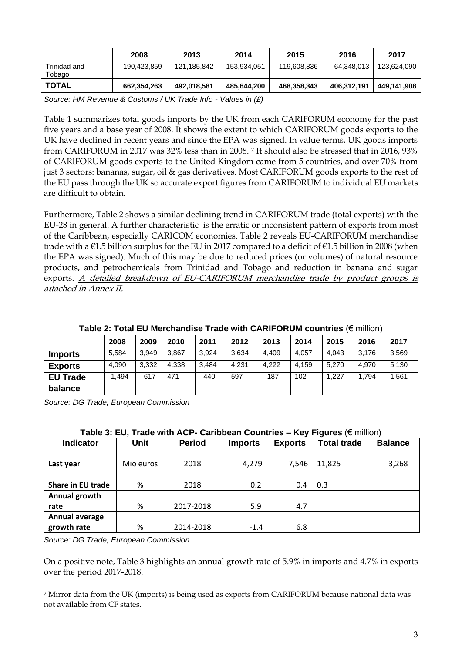|                        | 2008        | 2013        | 2014        | 2015        | 2016        | 2017        |
|------------------------|-------------|-------------|-------------|-------------|-------------|-------------|
| Trinidad and<br>Tobago | 190,423,859 | 121,185,842 | 153,934,051 | 119,608,836 | 64,348,013  | 123.624.090 |
| TOTAL                  | 662,354,263 | 492,018,581 | 485,644,200 | 468,358,343 | 406,312,191 | 449.141.908 |

*Source: HM Revenue & Customs / UK Trade Info - Values in (£)*

Table 1 summarizes total goods imports by the UK from each CARIFORUM economy for the past five years and a base year of 2008. It shows the extent to which CARIFORUM goods exports to the UK have declined in recent years and since the EPA was signed. In value terms, UK goods imports from CARIFORUM in 2017 was 32% less than in 2008. <sup>2</sup> It should also be stressed that in 2016, 93% of CARIFORUM goods exports to the United Kingdom came from 5 countries, and over 70% from just 3 sectors: bananas, sugar, oil & gas derivatives. Most CARIFORUM goods exports to the rest of the EU pass through the UK so accurate export figures from CARIFORUM to individual EU markets are difficult to obtain.

Furthermore, Table 2 shows a similar declining trend in CARIFORUM trade (total exports) with the EU-28 in general. A further characteristic is the erratic or inconsistent pattern of exports from most of the Caribbean, especially CARICOM economies. Table 2 reveals EU-CARIFORUM merchandise trade with a €1.5 billion surplus for the EU in 2017 compared to a deficit of €1.5 billion in 2008 (when the EPA was signed). Much of this may be due to reduced prices (or volumes) of natural resource products, and petrochemicals from Trinidad and Tobago and reduction in banana and sugar exports. A detailed breakdown of EU-CARIFORUM merchandise trade by product groups is attached in Annex II.

|                            | 2008     | 2009   | 2010  | 2011   | 2012  | 2013   | 2014  | 2015  | 2016  | 2017  |
|----------------------------|----------|--------|-------|--------|-------|--------|-------|-------|-------|-------|
| <b>Imports</b>             | 5.584    | 3.949  | 3.867 | 3.924  | 3.634 | 4.409  | 4.057 | 4.043 | 3.176 | 3,569 |
| <b>Exports</b>             | 4.090    | 3.332  | 4.338 | 3.484  | 4.231 | 4.222  | 4.159 | 5.270 | 4.970 | 5.130 |
| <b>EU Trade</b><br>balance | $-1.494$ | $-617$ | 471   | $-440$ | 597   | $-187$ | 102   | 1.227 | 1.794 | 1,561 |

**Table 2: Total EU Merchandise Trade with CARIFORUM countries** (€ million)

*Source: DG Trade, European Commission*

| oan boun oodnu loo<br>.<br>1901 VV (VIIIIIIIVIII |           |               |                |                |                    |                |  |  |  |  |  |  |
|--------------------------------------------------|-----------|---------------|----------------|----------------|--------------------|----------------|--|--|--|--|--|--|
| <b>Indicator</b>                                 | Unit      | <b>Period</b> | <b>Imports</b> | <b>Exports</b> | <b>Total trade</b> | <b>Balance</b> |  |  |  |  |  |  |
|                                                  |           |               |                |                |                    |                |  |  |  |  |  |  |
| Last year                                        | Mio euros | 2018          | 4,279          | 7,546          | 11,825             | 3,268          |  |  |  |  |  |  |
|                                                  |           |               |                |                |                    |                |  |  |  |  |  |  |
| Share in EU trade                                | %         | 2018          | 0.2            | 0.4            | 0.3                |                |  |  |  |  |  |  |
| Annual growth                                    |           |               |                |                |                    |                |  |  |  |  |  |  |
| rate                                             | %         | 2017-2018     | 5.9            | 4.7            |                    |                |  |  |  |  |  |  |
| <b>Annual average</b>                            |           |               |                |                |                    |                |  |  |  |  |  |  |
| growth rate                                      | %         | 2014-2018     | $-1.4$         | 6.8            |                    |                |  |  |  |  |  |  |

| Table 3: EU, Trade with ACP- Caribbean Countries - Key Figures ( $\epsilon$ million) |  |  |  |
|--------------------------------------------------------------------------------------|--|--|--|
|                                                                                      |  |  |  |

*Source: DG Trade, European Commission*

On a positive note, Table 3 highlights an annual growth rate of 5.9% in imports and 4.7% in exports over the period 2017-2018.

<sup>2</sup> Mirror data from the UK (imports) is being used as exports from CARIFORUM because national data was not available from CF states.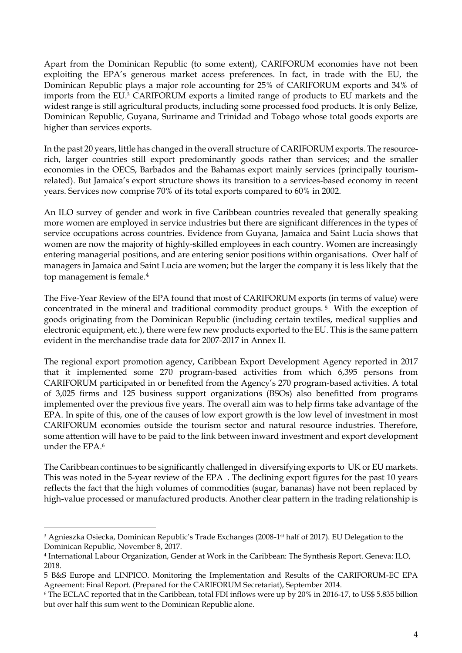Apart from the Dominican Republic (to some extent), CARIFORUM economies have not been exploiting the EPA's generous market access preferences. In fact, in trade with the EU, the Dominican Republic plays a major role accounting for 25% of CARIFORUM exports and 34% of imports from the EU.<sup>3</sup> CARIFORUM exports a limited range of products to EU markets and the widest range is still agricultural products, including some processed food products. It is only Belize, Dominican Republic, Guyana, Suriname and Trinidad and Tobago whose total goods exports are higher than services exports.

In the past 20 years, little has changed in the overall structure of CARIFORUM exports. The resourcerich, larger countries still export predominantly goods rather than services; and the smaller economies in the OECS, Barbados and the Bahamas export mainly services (principally tourismrelated). But Jamaica's export structure shows its transition to a services-based economy in recent years. Services now comprise 70% of its total exports compared to 60% in 2002.

An ILO survey of gender and work in five Caribbean countries revealed that generally speaking more women are employed in service industries but there are significant differences in the types of service occupations across countries. Evidence from Guyana, Jamaica and Saint Lucia shows that women are now the majority of highly-skilled employees in each country. Women are increasingly entering managerial positions, and are entering senior positions within organisations. Over half of managers in Jamaica and Saint Lucia are women; but the larger the company it is less likely that the top management is female.<sup>4</sup>

The Five-Year Review of the EPA found that most of CARIFORUM exports (in terms of value) were concentrated in the mineral and traditional commodity product groups. <sup>5</sup> With the exception of goods originating from the Dominican Republic (including certain textiles, medical supplies and electronic equipment, etc.), there were few new products exported to the EU. This is the same pattern evident in the merchandise trade data for 2007-2017 in Annex II.

The regional export promotion agency, Caribbean Export Development Agency reported in 2017 that it implemented some 270 program-based activities from which 6,395 persons from CARIFORUM participated in or benefited from the Agency's 270 program-based activities. A total of 3,025 firms and 125 business support organizations (BSOs) also benefitted from programs implemented over the previous five years. The overall aim was to help firms take advantage of the EPA. In spite of this, one of the causes of low export growth is the low level of investment in most CARIFORUM economies outside the tourism sector and natural resource industries. Therefore, some attention will have to be paid to the link between inward investment and export development under the EPA.<sup>6</sup>

The Caribbean continues to be significantly challenged in diversifying exports to UK or EU markets. This was noted in the 5-year review of the EPA . The declining export figures for the past 10 years reflects the fact that the high volumes of commodities (sugar, bananas) have not been replaced by high-value processed or manufactured products. Another clear pattern in the trading relationship is

<sup>3</sup> Agnieszka Osiecka, Dominican Republic's Trade Exchanges (2008-1 st half of 2017). EU Delegation to the Dominican Republic, November 8, 2017.

<sup>4</sup> International Labour Organization, Gender at Work in the Caribbean: The Synthesis Report. Geneva: ILO, 2018.

<sup>5</sup> B&S Europe and LINPICO. Monitoring the Implementation and Results of the CARIFORUM-EC EPA Agreement: Final Report. (Prepared for the CARIFORUM Secretariat), September 2014.

<sup>6</sup> The ECLAC reported that in the Caribbean, total FDI inflows were up by 20% in 2016-17, to US\$ 5.835 billion but over half this sum went to the Dominican Republic alone.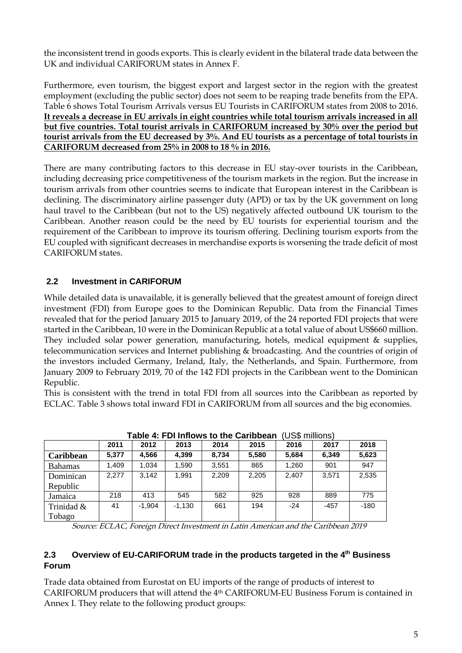the inconsistent trend in goods exports. This is clearly evident in the bilateral trade data between the UK and individual CARIFORUM states in Annex F.

Furthermore, even tourism, the biggest export and largest sector in the region with the greatest employment (excluding the public sector) does not seem to be reaping trade benefits from the EPA. Table 6 shows Total Tourism Arrivals versus EU Tourists in CARIFORUM states from 2008 to 2016. **It reveals a decrease in EU arrivals in eight countries while total tourism arrivals increased in all but five countries. Total tourist arrivals in CARIFORUM increased by 30% over the period but tourist arrivals from the EU decreased by 3%. And EU tourists as a percentage of total tourists in CARIFORUM decreased from 25% in 2008 to 18 % in 2016.**

There are many contributing factors to this decrease in EU stay-over tourists in the Caribbean, including decreasing price competitiveness of the tourism markets in the region. But the increase in tourism arrivals from other countries seems to indicate that European interest in the Caribbean is declining. The discriminatory airline passenger duty (APD) or tax by the UK government on long haul travel to the Caribbean (but not to the US) negatively affected outbound UK tourism to the Caribbean. Another reason could be the need by EU tourists for experiential tourism and the requirement of the Caribbean to improve its tourism offering. Declining tourism exports from the EU coupled with significant decreases in merchandise exports is worsening the trade deficit of most CARIFORUM states.

### <span id="page-7-0"></span>**2.2 Investment in CARIFORUM**

While detailed data is unavailable, it is generally believed that the greatest amount of foreign direct investment (FDI) from Europe goes to the Dominican Republic. Data from the Financial Times revealed that for the period January 2015 to January 2019, of the 24 reported FDI projects that were started in the Caribbean, 10 were in the Dominican Republic at a total value of about US\$660 million. They included solar power generation, manufacturing, hotels, medical equipment & supplies, telecommunication services and Internet publishing & broadcasting. And the countries of origin of the investors included Germany, Ireland, Italy, the Netherlands, and Spain. Furthermore, from January 2009 to February 2019, 70 of the 142 FDI projects in the Caribbean went to the Dominican Republic.

This is consistent with the trend in total FDI from all sources into the Caribbean as reported by ECLAC. Table 3 shows total inward FDI in CARIFORUM from all sources and the big economies.

|                | Table 4. FDI IIIIIOWS to the Cambbean<br>UJJI IIIIIIUIII |          |          |       |       |       |        |        |  |  |  |  |
|----------------|----------------------------------------------------------|----------|----------|-------|-------|-------|--------|--------|--|--|--|--|
|                | 2011                                                     | 2012     | 2013     | 2014  | 2015  | 2016  | 2017   | 2018   |  |  |  |  |
| Caribbean      | 5,377                                                    | 4,566    | 4.399    | 8.734 | 5,580 | 5.684 | 6.349  | 5,623  |  |  |  |  |
| <b>Bahamas</b> | 1,409                                                    | 1,034    | 1,590    | 3,551 | 865   | 1,260 | 901    | 947    |  |  |  |  |
| Dominican      | 2.277                                                    | 3,142    | 1.991    | 2.209 | 2,205 | 2,407 | 3,571  | 2,535  |  |  |  |  |
| Republic       |                                                          |          |          |       |       |       |        |        |  |  |  |  |
| Jamaica        | 218                                                      | 413      | 545      | 582   | 925   | 928   | 889    | 775    |  |  |  |  |
| Trinidad &     | 41                                                       | $-1.904$ | $-1.130$ | 661   | 194   | $-24$ | $-457$ | $-180$ |  |  |  |  |
| Tobago         |                                                          |          |          |       |       |       |        |        |  |  |  |  |

**Table 4: FDI Inflows to the Caribbean** (US\$ millions)

Source: ECLAC, Foreign Direct Investment in Latin American and the Caribbean 2019

### <span id="page-7-1"></span>**2.3 Overview of EU-CARIFORUM trade in the products targeted in the 4 th Business Forum**

Trade data obtained from Eurostat on EU imports of the range of products of interest to CARIFORUM producers that will attend the 4th CARIFORUM-EU Business Forum is contained in Annex I. They relate to the following product groups: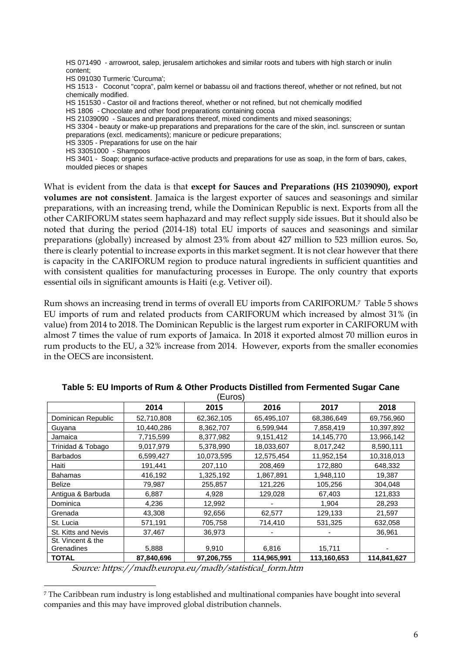HS 071490 - arrowroot, salep, jerusalem artichokes and similar roots and tubers with high starch or inulin content; HS 091030 Turmeric 'Curcuma'; HS 1513 - Coconut "copra", palm kernel or babassu oil and fractions thereof, whether or not refined, but not chemically modified. HS 151530 - Castor oil and fractions thereof, whether or not refined, but not chemically modified HS 1806 - Chocolate and other food preparations containing cocoa HS 21039090 - Sauces and preparations thereof, mixed condiments and mixed seasonings; HS 3304 - beauty or make-up preparations and preparations for the care of the skin, incl. sunscreen or suntan preparations (excl. medicaments); manicure or pedicure preparations; HS 3305 - Preparations for use on the hair HS 33051000 - Shampoos HS 3401 - Soap; organic surface-active products and preparations for use as soap, in the form of bars, cakes, moulded pieces or shapes

What is evident from the data is that **except for Sauces and Preparations (HS 21039090), export volumes are not consistent**. Jamaica is the largest exporter of sauces and seasonings and similar preparations, with an increasing trend, while the Dominican Republic is next. Exports from all the other CARIFORUM states seem haphazard and may reflect supply side issues. But it should also be noted that during the period (2014-18) total EU imports of sauces and seasonings and similar preparations (globally) increased by almost 23% from about 427 million to 523 million euros. So, there is clearly potential to increase exports in this market segment. It is not clear however that there is capacity in the CARIFORUM region to produce natural ingredients in sufficient quantities and with consistent qualities for manufacturing processes in Europe. The only country that exports essential oils in significant amounts is Haiti (e.g. Vetiver oil).

Rum shows an increasing trend in terms of overall EU imports from CARIFORUM. <sup>7</sup> Table 5 shows EU imports of rum and related products from CARIFORUM which increased by almost 31% (in value) from 2014 to 2018. The Dominican Republic is the largest rum exporter in CARIFORUM with almost 7 times the value of rum exports of Jamaica. In 2018 it exported almost 70 million euros in rum products to the EU, a 32% increase from 2014. However, exports from the smaller economies in the OECS are inconsistent.

|                                 |            | (Euros)    |             |             |             |
|---------------------------------|------------|------------|-------------|-------------|-------------|
|                                 | 2014       | 2015       | 2016        | 2017        | 2018        |
| Dominican Republic              | 52,710,808 | 62,362,105 | 65,495,107  | 68,386,649  | 69,756,960  |
| Guyana                          | 10,440,286 | 8,362,707  | 6,599,944   | 7,858,419   | 10,397,892  |
| Jamaica                         | 7,715,599  | 8,377,982  | 9,151,412   | 14,145,770  | 13,966,142  |
| Trinidad & Tobago               | 9,017,979  | 5,378,990  | 18,033,607  | 8,017,242   | 8,590,111   |
| <b>Barbados</b>                 | 6,599,427  | 10,073,595 | 12,575,454  | 11,952,154  | 10,318,013  |
| Haiti                           | 191,441    | 207,110    | 208,469     | 172,880     | 648,332     |
| <b>Bahamas</b>                  | 416,192    | 1,325,192  | 1,867,891   | 1,948,110   | 19,387      |
| <b>Belize</b>                   | 79,987     | 255,857    | 121,226     | 105,256     | 304,048     |
| Antigua & Barbuda               | 6,887      | 4,928      | 129,028     | 67,403      | 121,833     |
| Dominica                        | 4,236      | 12,992     |             | 1,904       | 28,293      |
| Grenada                         | 43,308     | 92,656     | 62,577      | 129,133     | 21,597      |
| St. Lucia                       | 571,191    | 705,758    | 714,410     | 531,325     | 632,058     |
| St. Kitts and Nevis             | 37,467     | 36,973     |             |             | 36,961      |
| St. Vincent & the<br>Grenadines | 5,888      | 9,910      | 6,816       | 15,711      |             |
| <b>TOTAL</b>                    | 87,840,696 | 97,206,755 | 114,965,991 | 113,160,653 | 114,841,627 |

## **Table 5: EU Imports of Rum & Other Products Distilled from Fermented Sugar Cane**

Source: https://madb.europa.eu/madb/statistical\_form.htm

<sup>7</sup> The Caribbean rum industry is long established and multinational companies have bought into several companies and this may have improved global distribution channels.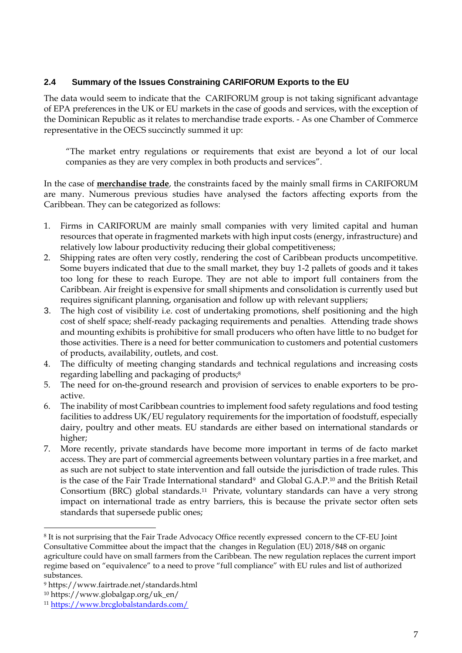### <span id="page-9-0"></span>**2.4 Summary of the Issues Constraining CARIFORUM Exports to the EU**

The data would seem to indicate that the CARIFORUM group is not taking significant advantage of EPA preferences in the UK or EU markets in the case of goods and services, with the exception of the Dominican Republic as it relates to merchandise trade exports. - As one Chamber of Commerce representative in the OECS succinctly summed it up:

"The market entry regulations or requirements that exist are beyond a lot of our local companies as they are very complex in both products and services".

In the case of **merchandise trade**, the constraints faced by the mainly small firms in CARIFORUM are many. Numerous previous studies have analysed the factors affecting exports from the Caribbean. They can be categorized as follows:

- 1. Firms in CARIFORUM are mainly small companies with very limited capital and human resources that operate in fragmented markets with high input costs (energy, infrastructure) and relatively low labour productivity reducing their global competitiveness;
- 2. Shipping rates are often very costly, rendering the cost of Caribbean products uncompetitive. Some buyers indicated that due to the small market, they buy 1-2 pallets of goods and it takes too long for these to reach Europe. They are not able to import full containers from the Caribbean. Air freight is expensive for small shipments and consolidation is currently used but requires significant planning, organisation and follow up with relevant suppliers;
- 3. The high cost of visibility i.e. cost of undertaking promotions, shelf positioning and the high cost of shelf space; shelf-ready packaging requirements and penalties. Attending trade shows and mounting exhibits is prohibitive for small producers who often have little to no budget for those activities. There is a need for better communication to customers and potential customers of products, availability, outlets, and cost.
- 4. The difficulty of meeting changing standards and technical regulations and increasing costs regarding labelling and packaging of products;<sup>8</sup>
- 5. The need for on-the-ground research and provision of services to enable exporters to be proactive.
- 6. The inability of most Caribbean countries to implement food safety regulations and food testing facilities to address UK/EU regulatory requirements for the importation of foodstuff, especially dairy, poultry and other meats. EU standards are either based on international standards or higher;
- 7. More recently, private standards have become more important in terms of de facto market access. They are part of commercial agreements between voluntary parties in a free market, and as such are not subject to state intervention and fall outside the jurisdiction of trade rules. This is the case of the Fair Trade International standard<sup>9</sup> and Global G.A.P.<sup>10</sup> and the British Retail Consortium (BRC) global standards.<sup>11</sup> Private, voluntary standards can have a very strong impact on international trade as entry barriers, this is because the private sector often sets standards that supersede public ones;

<sup>8</sup> It is not surprising that the Fair Trade Advocacy Office recently expressed concern to the CF-EU Joint Consultative Committee about the impact that the changes in Regulation (EU) 2018/848 on organic agriculture could have on small farmers from the Caribbean. The new regulation replaces the current import regime based on "equivalence" to a need to prove "full compliance" with EU rules and list of authorized substances.

<sup>9</sup> https://www.fairtrade.net/standards.html

<sup>10</sup> https://www.globalgap.org/uk\_en/

<sup>11</sup> <https://www.brcglobalstandards.com/>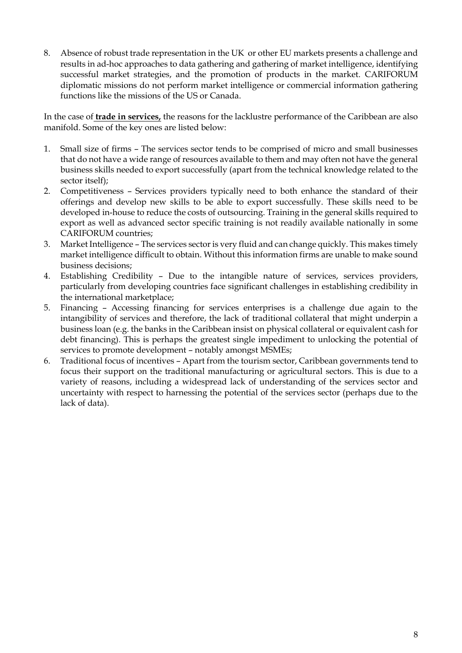8. Absence of robust trade representation in the UK or other EU markets presents a challenge and results in ad-hoc approaches to data gathering and gathering of market intelligence, identifying successful market strategies, and the promotion of products in the market. CARIFORUM diplomatic missions do not perform market intelligence or commercial information gathering functions like the missions of the US or Canada.

In the case of **trade in services,** the reasons for the lacklustre performance of the Caribbean are also manifold. Some of the key ones are listed below:

- 1. Small size of firms The services sector tends to be comprised of micro and small businesses that do not have a wide range of resources available to them and may often not have the general business skills needed to export successfully (apart from the technical knowledge related to the sector itself);
- 2. Competitiveness Services providers typically need to both enhance the standard of their offerings and develop new skills to be able to export successfully. These skills need to be developed in-house to reduce the costs of outsourcing. Training in the general skills required to export as well as advanced sector specific training is not readily available nationally in some CARIFORUM countries;
- 3. Market Intelligence The services sector is very fluid and can change quickly. This makes timely market intelligence difficult to obtain. Without this information firms are unable to make sound business decisions;
- 4. Establishing Credibility Due to the intangible nature of services, services providers, particularly from developing countries face significant challenges in establishing credibility in the international marketplace;
- 5. Financing Accessing financing for services enterprises is a challenge due again to the intangibility of services and therefore, the lack of traditional collateral that might underpin a business loan (e.g. the banks in the Caribbean insist on physical collateral or equivalent cash for debt financing). This is perhaps the greatest single impediment to unlocking the potential of services to promote development – notably amongst MSMEs;
- 6. Traditional focus of incentives Apart from the tourism sector, Caribbean governments tend to focus their support on the traditional manufacturing or agricultural sectors. This is due to a variety of reasons, including a widespread lack of understanding of the services sector and uncertainty with respect to harnessing the potential of the services sector (perhaps due to the lack of data).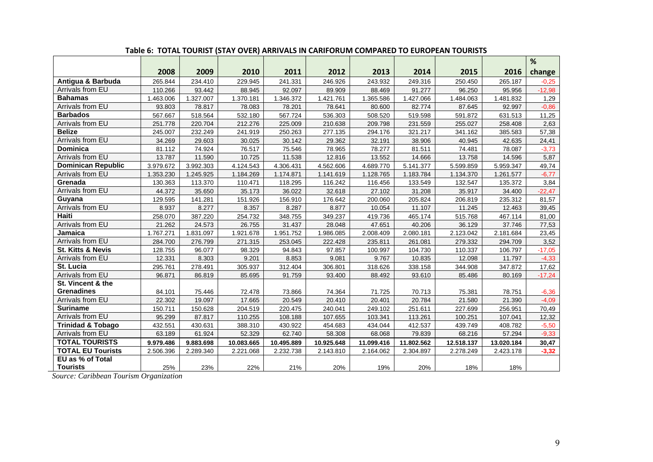|                              |           |           |            |            |            |            |            |            |            | %        |
|------------------------------|-----------|-----------|------------|------------|------------|------------|------------|------------|------------|----------|
|                              | 2008      | 2009      | 2010       | 2011       | 2012       | 2013       | 2014       | 2015       | 2016       | change   |
| Antigua & Barbuda            | 265.844   | 234.410   | 229.945    | 241.331    | 246.926    | 243.932    | 249.316    | 250.450    | 265.187    | $-0.25$  |
| Arrivals from EU             | 110.266   | 93.442    | 88.945     | 92.097     | 89.909     | 88.469     | 91.277     | 96.250     | 95.956     | $-12,98$ |
| <b>Bahamas</b>               | 1.463.006 | 1.327.007 | 1.370.181  | 1.346.372  | 1.421.761  | 1.365.586  | 1.427.066  | 1.484.063  | 1.481.832  | 1,29     |
| Arrivals from EU             | 93.803    | 78.817    | 78.083     | 78.201     | 78.641     | 80.600     | 82.774     | 87.645     | 92.997     | $-0.86$  |
| <b>Barbados</b>              | 567.667   | 518.564   | 532.180    | 567.724    | 536.303    | 508.520    | 519.598    | 591.872    | 631.513    | 11,25    |
| Arrivals from EU             | 251.778   | 220.704   | 212.276    | 225.009    | 210.638    | 209.798    | 231.559    | 255.027    | 258.408    | 2,63     |
| <b>Belize</b>                | 245.007   | 232.249   | 241.919    | 250.263    | 277.135    | 294.176    | 321.217    | 341.162    | 385.583    | 57,38    |
| Arrivals from EU             | 34.269    | 29.603    | 30.025     | 30.142     | 29.362     | 32.191     | 38.906     | 40.945     | 42.635     | 24,41    |
| <b>Dominica</b>              | 81.112    | 74.924    | 76.517     | 75.546     | 78.965     | 78.277     | 81.511     | 74.481     | 78.087     | $-3,73$  |
| Arrivals from EU             | 13.787    | 11.590    | 10.725     | 11.538     | 12.816     | 13.552     | 14.666     | 13.758     | 14.596     | 5,87     |
| <b>Dominican Republic</b>    | 3.979.672 | 3.992.303 | 4.124.543  | 4.306.431  | 4.562.606  | 4.689.770  | 5.141.377  | 5.599.859  | 5.959.347  | 49,74    |
| Arrivals from EU             | 1.353.230 | 1.245.925 | 1.184.269  | 1.174.871  | 1.141.619  | 1.128.765  | 1.183.784  | 1.134.370  | 1.261.577  | $-6,77$  |
| Grenada                      | 130.363   | 113.370   | 110.471    | 118.295    | 116.242    | 116.456    | 133.549    | 132.547    | 135.372    | 3,84     |
| Arrivals from EU             | 44.372    | 35.650    | 35.173     | 36.022     | 32.618     | 27.102     | 31.208     | 35.917     | 34.400     | $-22,47$ |
| Guyana                       | 129.595   | 141.281   | 151.926    | 156.910    | 176.642    | 200.060    | 205.824    | 206.819    | 235.312    | 81,57    |
| Arrivals from EU             | 8.937     | 8.277     | 8.357      | 8.287      | 8.877      | 10.054     | 11.107     | 11.245     | 12.463     | 39,45    |
| Haiti                        | 258.070   | 387.220   | 254.732    | 348.755    | 349.237    | 419.736    | 465.174    | 515.768    | 467.114    | 81,00    |
| Arrivals from EU             | 21.262    | 24.573    | 26.755     | 31.437     | 28.048     | 47.651     | 40.206     | 36.129     | 37.746     | 77,53    |
| Jamaica                      | 1.767.271 | 1.831.097 | 1.921.678  | 1.951.752  | 1.986.085  | 2.008.409  | 2.080.181  | 2.123.042  | 2.181.684  | 23,45    |
| Arrivals from EU             | 284.700   | 276.799   | 271.315    | 253.045    | 222.428    | 235.811    | 261.081    | 279.332    | 294.709    | 3,52     |
| <b>St. Kitts &amp; Nevis</b> | 128.755   | 96.077    | 98.329     | 94.843     | 97.857     | 100.997    | 104.730    | 110.337    | 106.797    | $-17,05$ |
| Arrivals from EU             | 12.331    | 8.303     | 9.201      | 8.853      | 9.081      | 9.767      | 10.835     | 12.098     | 11.797     | $-4,33$  |
| St. Lucia                    | 295.761   | 278.491   | 305.937    | 312.404    | 306.801    | 318.626    | 338.158    | 344.908    | 347.872    | 17,62    |
| Arrivals from EU             | 96.871    | 86.819    | 85.695     | 91.759     | 93.400     | 88.492     | 93.610     | 85.486     | 80.169     | $-17,24$ |
| St. Vincent & the            |           |           |            |            |            |            |            |            |            |          |
| <b>Grenadines</b>            | 84.101    | 75.446    | 72.478     | 73.866     | 74.364     | 71.725     | 70.713     | 75.381     | 78.751     | $-6,36$  |
| Arrivals from EU             | 22.302    | 19.097    | 17.665     | 20.549     | 20.410     | 20.401     | 20.784     | 21.580     | 21.390     | $-4,09$  |
| <b>Suriname</b>              | 150.711   | 150.628   | 204.519    | 220.475    | 240.041    | 249.102    | 251.611    | 227.699    | 256.951    | 70,49    |
| Arrivals from EU             | 95.299    | 87.817    | 110.255    | 108.188    | 107.655    | 103.341    | 113.261    | 100.251    | 107.041    | 12,32    |
| <b>Trinidad &amp; Tobago</b> | 432.551   | 430.631   | 388.310    | 430.922    | 454.683    | 434.044    | 412.537    | 439.749    | 408.782    | $-5,50$  |
| Arrivals from EU             | 63.189    | 61.924    | 52.329     | 62.740     | 58.308     | 68.068     | 79.839     | 68.216     | 57.294     | $-9,33$  |
| <b>TOTAL TOURISTS</b>        | 9.979.486 | 9.883.698 | 10.083.665 | 10.495.889 | 10.925.648 | 11.099.416 | 11.802.562 | 12.518.137 | 13.020.184 | 30,47    |
| <b>TOTAL EU Tourists</b>     | 2.506.396 | 2.289.340 | 2.221.068  | 2.232.738  | 2.143.810  | 2.164.062  | 2.304.897  | 2.278.249  | 2.423.178  | $-3,32$  |
| EU as % of Total             |           |           |            |            |            |            |            |            |            |          |
| <b>Tourists</b>              | 25%       | 23%       | 22%        | 21%        | 20%        | 19%        | 20%        | 18%        | 18%        |          |

#### **Table 6: TOTAL TOURIST (STAY OVER) ARRIVALS IN CARIFORUM COMPARED TO EUROPEAN TOURISTS**

*Source: Caribbean Tourism Organization*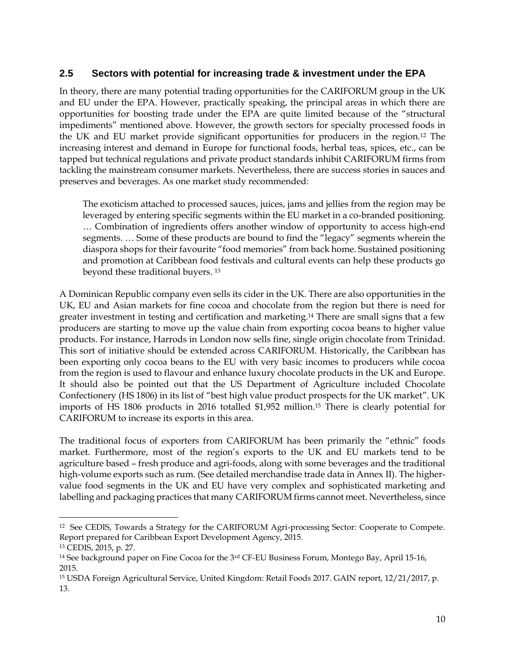### **2.5 Sectors with potential for increasing trade & investment under the EPA**

<span id="page-12-0"></span>In theory, there are many potential trading opportunities for the CARIFORUM group in the UK and EU under the EPA. However, practically speaking, the principal areas in which there are opportunities for boosting trade under the EPA are quite limited because of the "structural impediments" mentioned above. However, the growth sectors for specialty processed foods in the UK and EU market provide significant opportunities for producers in the region.<sup>12</sup> The increasing interest and demand in Europe for functional foods, herbal teas, spices, etc., can be tapped but technical regulations and private product standards inhibit CARIFORUM firms from tackling the mainstream consumer markets. Nevertheless, there are success stories in sauces and preserves and beverages. As one market study recommended:

The exoticism attached to processed sauces, juices, jams and jellies from the region may be leveraged by entering specific segments within the EU market in a co-branded positioning. … Combination of ingredients offers another window of opportunity to access high-end segments. … Some of these products are bound to find the "legacy" segments wherein the diaspora shops for their favourite "food memories" from back home. Sustained positioning and promotion at Caribbean food festivals and cultural events can help these products go beyond these traditional buyers. <sup>13</sup>

A Dominican Republic company even sells its cider in the UK. There are also opportunities in the UK, EU and Asian markets for fine cocoa and chocolate from the region but there is need for greater investment in testing and certification and marketing.<sup>14</sup> There are small signs that a few producers are starting to move up the value chain from exporting cocoa beans to higher value products. For instance, Harrods in London now sells fine, single origin chocolate from Trinidad. This sort of initiative should be extended across CARIFORUM. Historically, the Caribbean has been exporting only cocoa beans to the EU with very basic incomes to producers while cocoa from the region is used to flavour and enhance luxury chocolate products in the UK and Europe. It should also be pointed out that the US Department of Agriculture included Chocolate Confectionery (HS 1806) in its list of "best high value product prospects for the UK market". UK imports of HS 1806 products in 2016 totalled \$1,952 million.<sup>15</sup> There is clearly potential for CARIFORUM to increase its exports in this area.

The traditional focus of exporters from CARIFORUM has been primarily the "ethnic" foods market. Furthermore, most of the region's exports to the UK and EU markets tend to be agriculture based – fresh produce and agri-foods, along with some beverages and the traditional high-volume exports such as rum. (See detailed merchandise trade data in Annex II). The highervalue food segments in the UK and EU have very complex and sophisticated marketing and labelling and packaging practices that many CARIFORUM firms cannot meet. Nevertheless, since

<sup>12</sup> See CEDIS, Towards a Strategy for the CARIFORUM Agri-processing Sector: Cooperate to Compete. Report prepared for Caribbean Export Development Agency, 2015.

<sup>13</sup> CEDIS, 2015, p. 27.

<sup>&</sup>lt;sup>14</sup> See background paper on Fine Cocoa for the  $3<sup>rd</sup>$  CF-EU Business Forum, Montego Bay, April 15-16, 2015.

<sup>15</sup> USDA Foreign Agricultural Service, United Kingdom: Retail Foods 2017. GAIN report, 12/21/2017, p. 13.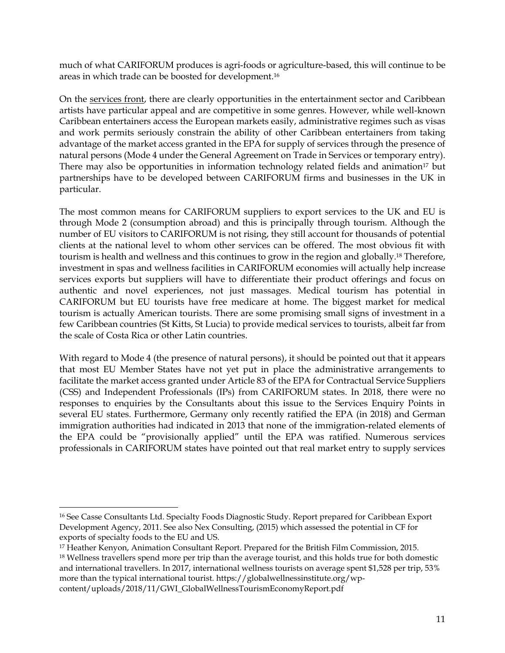much of what CARIFORUM produces is agri-foods or agriculture-based, this will continue to be areas in which trade can be boosted for development.<sup>16</sup>

On the services front, there are clearly opportunities in the entertainment sector and Caribbean artists have particular appeal and are competitive in some genres. However, while well-known Caribbean entertainers access the European markets easily, administrative regimes such as visas and work permits seriously constrain the ability of other Caribbean entertainers from taking advantage of the market access granted in the EPA for supply of services through the presence of natural persons (Mode 4 under the General Agreement on Trade in Services or temporary entry). There may also be opportunities in information technology related fields and animation<sup>17</sup> but partnerships have to be developed between CARIFORUM firms and businesses in the UK in particular.

The most common means for CARIFORUM suppliers to export services to the UK and EU is through Mode 2 (consumption abroad) and this is principally through tourism. Although the number of EU visitors to CARIFORUM is not rising, they still account for thousands of potential clients at the national level to whom other services can be offered. The most obvious fit with tourism is health and wellness and this continues to grow in the region and globally.<sup>18</sup> Therefore, investment in spas and wellness facilities in CARIFORUM economies will actually help increase services exports but suppliers will have to differentiate their product offerings and focus on authentic and novel experiences, not just massages. Medical tourism has potential in CARIFORUM but EU tourists have free medicare at home. The biggest market for medical tourism is actually American tourists. There are some promising small signs of investment in a few Caribbean countries (St Kitts, St Lucia) to provide medical services to tourists, albeit far from the scale of Costa Rica or other Latin countries.

With regard to Mode 4 (the presence of natural persons), it should be pointed out that it appears that most EU Member States have not yet put in place the administrative arrangements to facilitate the market access granted under Article 83 of the EPA for Contractual Service Suppliers (CSS) and Independent Professionals (IPs) from CARIFORUM states. In 2018, there were no responses to enquiries by the Consultants about this issue to the Services Enquiry Points in several EU states. Furthermore, Germany only recently ratified the EPA (in 2018) and German immigration authorities had indicated in 2013 that none of the immigration-related elements of the EPA could be "provisionally applied" until the EPA was ratified. Numerous services professionals in CARIFORUM states have pointed out that real market entry to supply services

[content/uploads/2018/11/GWI\\_GlobalWellnessTourismEconomyReport.pdf](https://globalwellnessinstitute.org/wp-content/uploads/2018/11/GWI_GlobalWellnessTourismEconomyReport.pdf)

<sup>16</sup> See Casse Consultants Ltd. Specialty Foods Diagnostic Study. Report prepared for Caribbean Export Development Agency, 2011. See also Nex Consulting, (2015) which assessed the potential in CF for exports of specialty foods to the EU and US.

<sup>17</sup> Heather Kenyon, Animation Consultant Report. Prepared for the British Film Commission, 2015.

<sup>&</sup>lt;sup>18</sup> Wellness travellers spend more per trip than the average tourist, and this holds true for both domestic and international travellers. In 2017, international wellness tourists on average spent \$1,528 per trip, 53% more than the typical international tourist. [https://globalwellnessinstitute.org/wp-](https://globalwellnessinstitute.org/wp-content/uploads/2018/11/GWI_GlobalWellnessTourismEconomyReport.pdf)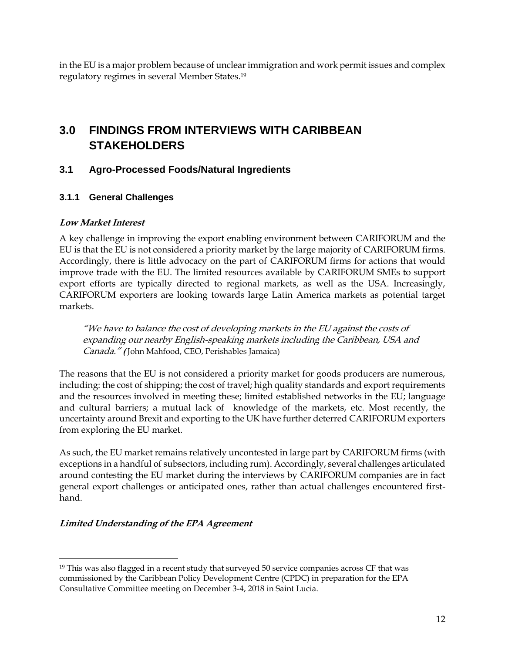in the EU is a major problem because of unclear immigration and work permit issues and complex regulatory regimes in several Member States. 19

## **3.0 FINDINGS FROM INTERVIEWS WITH CARIBBEAN STAKEHOLDERS**

### <span id="page-14-0"></span>**3.1 Agro-Processed Foods/Natural Ingredients**

#### **3.1.1 General Challenges**

#### <span id="page-14-2"></span><span id="page-14-1"></span>**Low Market Interest**

<span id="page-14-3"></span>A key challenge in improving the export enabling environment between CARIFORUM and the EU is that the EU is not considered a priority market by the large majority of CARIFORUM firms. Accordingly, there is little advocacy on the part of CARIFORUM firms for actions that would improve trade with the EU. The limited resources available by CARIFORUM SMEs to support export efforts are typically directed to regional markets, as well as the USA. Increasingly, CARIFORUM exporters are looking towards large Latin America markets as potential target markets.

"We have to balance the cost of developing markets in the EU against the costs of expanding our nearby English-speaking markets including the Caribbean, USA and Canada." **(** John Mahfood, CEO, Perishables Jamaica)

The reasons that the EU is not considered a priority market for goods producers are numerous, including: the cost of shipping; the cost of travel; high quality standards and export requirements and the resources involved in meeting these; limited established networks in the EU; language and cultural barriers; a mutual lack of knowledge of the markets, etc. Most recently, the uncertainty around Brexit and exporting to the UK have further deterred CARIFORUM exporters from exploring the EU market.

As such, the EU market remains relatively uncontested in large part by CARIFORUM firms (with exceptions in a handful of subsectors, including rum). Accordingly, several challenges articulated around contesting the EU market during the interviews by CARIFORUM companies are in fact general export challenges or anticipated ones, rather than actual challenges encountered firsthand.

#### **Limited Understanding of the EPA Agreement**

<span id="page-14-4"></span><sup>&</sup>lt;sup>19</sup> This was also flagged in a recent study that surveyed 50 service companies across CF that was commissioned by the Caribbean Policy Development Centre (CPDC) in preparation for the EPA Consultative Committee meeting on December 3-4, 2018 in Saint Lucia.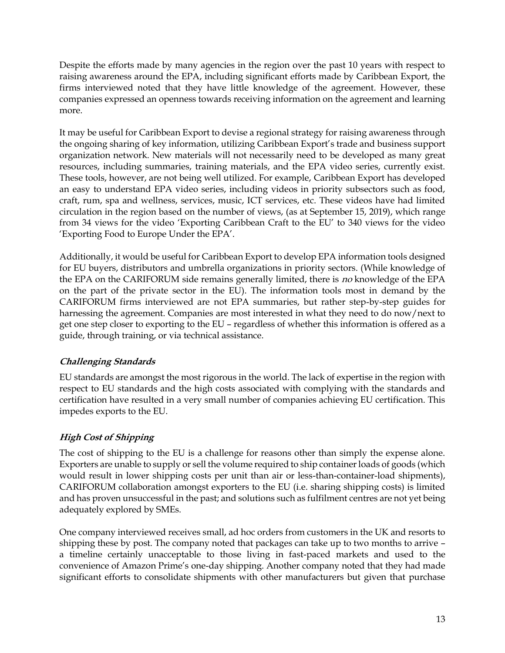Despite the efforts made by many agencies in the region over the past 10 years with respect to raising awareness around the EPA, including significant efforts made by Caribbean Export, the firms interviewed noted that they have little knowledge of the agreement. However, these companies expressed an openness towards receiving information on the agreement and learning more.

It may be useful for Caribbean Export to devise a regional strategy for raising awareness through the ongoing sharing of key information, utilizing Caribbean Export's trade and business support organization network. New materials will not necessarily need to be developed as many great resources, including summaries, training materials, and the EPA video series, currently exist. These tools, however, are not being well utilized. For example, Caribbean Export has developed an easy to understand EPA video series, including videos in priority subsectors such as food, craft, rum, spa and wellness, services, music, ICT services, etc. These videos have had limited circulation in the region based on the number of views, (as at September 15, 2019), which range from 34 views for the video 'Exporting Caribbean Craft to the EU' to 340 views for the video 'Exporting Food to Europe Under the EPA'.

Additionally, it would be useful for Caribbean Export to develop EPA information tools designed for EU buyers, distributors and umbrella organizations in priority sectors. (While knowledge of the EPA on the CARIFORUM side remains generally limited, there is no knowledge of the EPA on the part of the private sector in the EU). The information tools most in demand by the CARIFORUM firms interviewed are not EPA summaries, but rather step-by-step guides for harnessing the agreement. Companies are most interested in what they need to do now/next to get one step closer to exporting to the EU – regardless of whether this information is offered as a guide, through training, or via technical assistance.

## **Challenging Standards**

<span id="page-15-0"></span>EU standards are amongst the most rigorous in the world. The lack of expertise in the region with respect to EU standards and the high costs associated with complying with the standards and certification have resulted in a very small number of companies achieving EU certification. This impedes exports to the EU.

## **High Cost of Shipping**

<span id="page-15-1"></span>The cost of shipping to the EU is a challenge for reasons other than simply the expense alone. Exporters are unable to supply or sell the volume required to ship container loads of goods (which would result in lower shipping costs per unit than air or less-than-container-load shipments), CARIFORUM collaboration amongst exporters to the EU (i.e. sharing shipping costs) is limited and has proven unsuccessful in the past; and solutions such as fulfilment centres are not yet being adequately explored by SMEs.

One company interviewed receives small, ad hoc orders from customers in the UK and resorts to shipping these by post. The company noted that packages can take up to two months to arrive – a timeline certainly unacceptable to those living in fast-paced markets and used to the convenience of Amazon Prime's one-day shipping. Another company noted that they had made significant efforts to consolidate shipments with other manufacturers but given that purchase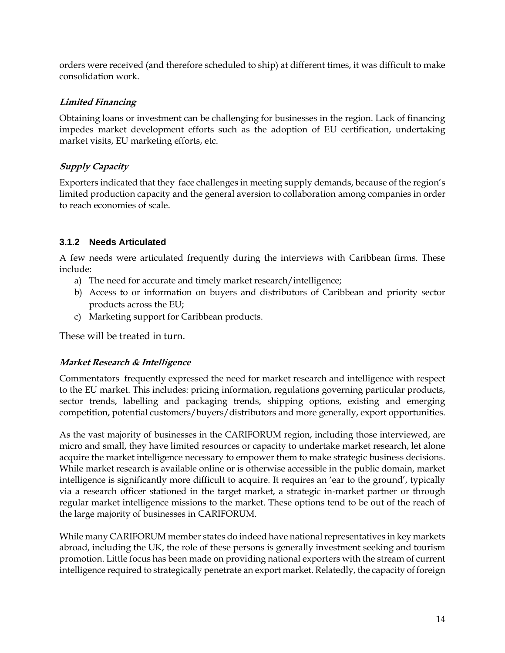orders were received (and therefore scheduled to ship) at different times, it was difficult to make consolidation work.

### **Limited Financing**

<span id="page-16-0"></span>Obtaining loans or investment can be challenging for businesses in the region. Lack of financing impedes market development efforts such as the adoption of EU certification, undertaking market visits, EU marketing efforts, etc.

### **Supply Capacity**

<span id="page-16-1"></span>Exporters indicated that they face challenges in meeting supply demands, because of the region's limited production capacity and the general aversion to collaboration among companies in order to reach economies of scale.

### **3.1.2 Needs Articulated**

<span id="page-16-2"></span>A few needs were articulated frequently during the interviews with Caribbean firms. These include:

- a) The need for accurate and timely market research/intelligence;
- b) Access to or information on buyers and distributors of Caribbean and priority sector products across the EU;
- c) Marketing support for Caribbean products.

These will be treated in turn.

## **Market Research & Intelligence**

<span id="page-16-3"></span>Commentators frequently expressed the need for market research and intelligence with respect to the EU market. This includes: pricing information, regulations governing particular products, sector trends, labelling and packaging trends, shipping options, existing and emerging competition, potential customers/buyers/distributors and more generally, export opportunities.

As the vast majority of businesses in the CARIFORUM region, including those interviewed, are micro and small, they have limited resources or capacity to undertake market research, let alone acquire the market intelligence necessary to empower them to make strategic business decisions. While market research is available online or is otherwise accessible in the public domain, market intelligence is significantly more difficult to acquire. It requires an 'ear to the ground', typically via a research officer stationed in the target market, a strategic in-market partner or through regular market intelligence missions to the market. These options tend to be out of the reach of the large majority of businesses in CARIFORUM.

While many CARIFORUM member states do indeed have national representatives in key markets abroad, including the UK, the role of these persons is generally investment seeking and tourism promotion. Little focus has been made on providing national exporters with the stream of current intelligence required to strategically penetrate an export market. Relatedly, the capacity of foreign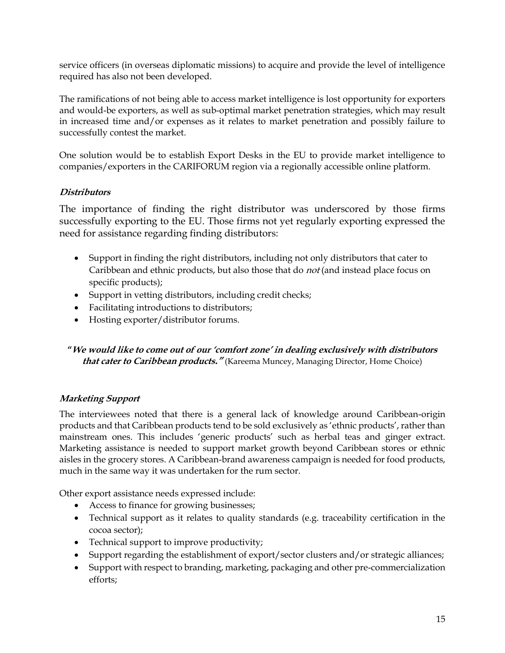service officers (in overseas diplomatic missions) to acquire and provide the level of intelligence required has also not been developed.

The ramifications of not being able to access market intelligence is lost opportunity for exporters and would-be exporters, as well as sub-optimal market penetration strategies, which may result in increased time and/or expenses as it relates to market penetration and possibly failure to successfully contest the market.

One solution would be to establish Export Desks in the EU to provide market intelligence to companies/exporters in the CARIFORUM region via a regionally accessible online platform.

### **Distributors**

<span id="page-17-0"></span>The importance of finding the right distributor was underscored by those firms successfully exporting to the EU. Those firms not yet regularly exporting expressed the need for assistance regarding finding distributors:

- Support in finding the right distributors, including not only distributors that cater to Caribbean and ethnic products, but also those that do *not* (and instead place focus on specific products);
- Support in vetting distributors, including credit checks;
- Facilitating introductions to distributors;
- Hosting exporter/distributor forums.

## **"We would like to come out of our 'comfort zone' in dealing exclusively with distributors that cater to Caribbean products."** (Kareema Muncey, Managing Director, Home Choice)

#### **Marketing Support**

<span id="page-17-1"></span>The interviewees noted that there is a general lack of knowledge around Caribbean-origin products and that Caribbean products tend to be sold exclusively as 'ethnic products', rather than mainstream ones. This includes 'generic products' such as herbal teas and ginger extract. Marketing assistance is needed to support market growth beyond Caribbean stores or ethnic aisles in the grocery stores. A Caribbean-brand awareness campaign is needed for food products, much in the same way it was undertaken for the rum sector.

Other export assistance needs expressed include:

- Access to finance for growing businesses;
- Technical support as it relates to quality standards (e.g. traceability certification in the cocoa sector);
- Technical support to improve productivity;
- Support regarding the establishment of export/sector clusters and/or strategic alliances;
- Support with respect to branding, marketing, packaging and other pre-commercialization efforts;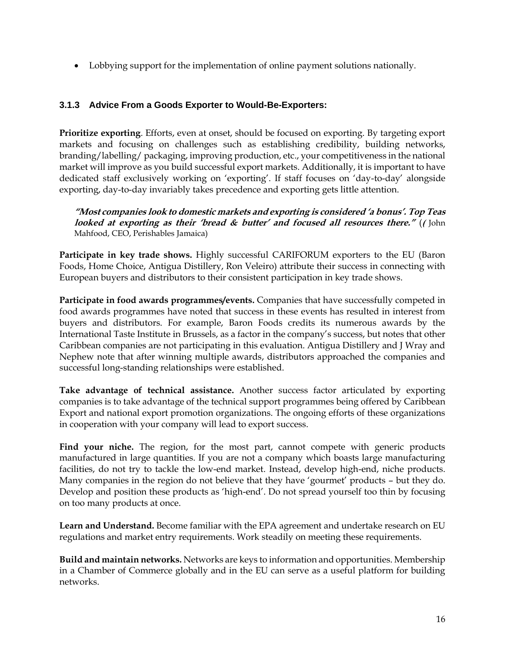• Lobbying support for the implementation of online payment solutions nationally.

#### **3.1.3 Advice From a Goods Exporter to Would-Be-Exporters:**

<span id="page-18-0"></span>**Prioritize exporting**. Efforts, even at onset, should be focused on exporting. By targeting export markets and focusing on challenges such as establishing credibility, building networks, branding/labelling/ packaging, improving production, etc., your competitiveness in the national market will improve as you build successful export markets. Additionally, it is important to have dedicated staff exclusively working on 'exporting'. If staff focuses on 'day-to-day' alongside exporting, day-to-day invariably takes precedence and exporting gets little attention.

**"Most companies look to domestic markets and exporting is considered 'a bonus'. Top Teas looked at exporting as their 'bread & butter' and focused all resources there."** (**(** John Mahfood, CEO, Perishables Jamaica)

**Participate in key trade shows.** Highly successful CARIFORUM exporters to the EU (Baron Foods, Home Choice, Antigua Distillery, Ron Veleiro) attribute their success in connecting with European buyers and distributors to their consistent participation in key trade shows.

**Participate in food awards programmes/events.** Companies that have successfully competed in food awards programmes have noted that success in these events has resulted in interest from buyers and distributors. For example, Baron Foods credits its numerous awards by the International Taste Institute in Brussels, as a factor in the company's success, but notes that other Caribbean companies are not participating in this evaluation. Antigua Distillery and J Wray and Nephew note that after winning multiple awards, distributors approached the companies and successful long-standing relationships were established.

**Take advantage of technical assistance.** Another success factor articulated by exporting companies is to take advantage of the technical support programmes being offered by Caribbean Export and national export promotion organizations. The ongoing efforts of these organizations in cooperation with your company will lead to export success.

Find your niche. The region, for the most part, cannot compete with generic products manufactured in large quantities. If you are not a company which boasts large manufacturing facilities, do not try to tackle the low-end market. Instead, develop high-end, niche products. Many companies in the region do not believe that they have 'gourmet' products – but they do. Develop and position these products as 'high-end'. Do not spread yourself too thin by focusing on too many products at once.

**Learn and Understand.** Become familiar with the EPA agreement and undertake research on EU regulations and market entry requirements. Work steadily on meeting these requirements.

**Build and maintain networks.** Networks are keys to information and opportunities. Membership in a Chamber of Commerce globally and in the EU can serve as a useful platform for building networks.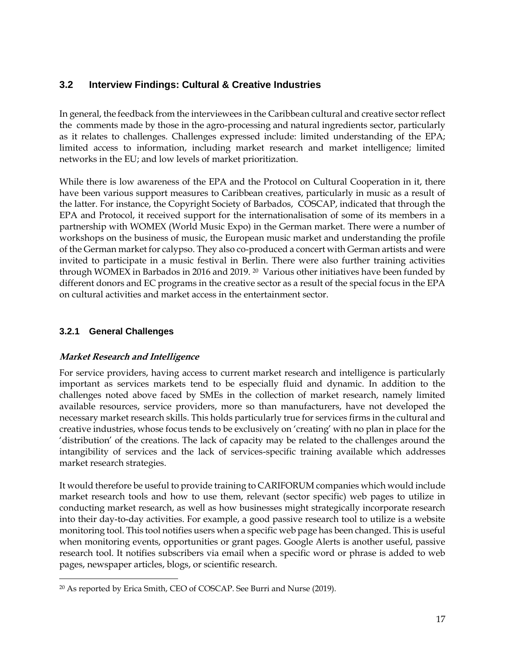## **3.2 Interview Findings: Cultural & Creative Industries**

<span id="page-19-0"></span>In general, the feedback from the interviewees in the Caribbean cultural and creative sector reflect the comments made by those in the agro-processing and natural ingredients sector, particularly as it relates to challenges. Challenges expressed include: limited understanding of the EPA; limited access to information, including market research and market intelligence; limited networks in the EU; and low levels of market prioritization.

While there is low awareness of the EPA and the Protocol on Cultural Cooperation in it, there have been various support measures to Caribbean creatives, particularly in music as a result of the latter. For instance, the Copyright Society of Barbados, COSCAP, indicated that through the EPA and Protocol, it received support for the internationalisation of some of its members in a partnership with WOMEX (World Music Expo) in the German market. There were a number of workshops on the business of music, the European music market and understanding the profile of the German market for calypso. They also co-produced a concert with German artists and were invited to participate in a music festival in Berlin. There were also further training activities through WOMEX in Barbados in 2016 and 2019. 20 Various other initiatives have been funded by different donors and EC programs in the creative sector as a result of the special focus in the EPA on cultural activities and market access in the entertainment sector.

## **3.2.1 General Challenges**

#### <span id="page-19-1"></span>**Market Research and Intelligence**

<span id="page-19-2"></span>For service providers, having access to current market research and intelligence is particularly important as services markets tend to be especially fluid and dynamic. In addition to the challenges noted above faced by SMEs in the collection of market research, namely limited available resources, service providers, more so than manufacturers, have not developed the necessary market research skills. This holds particularly true for services firms in the cultural and creative industries, whose focus tends to be exclusively on 'creating' with no plan in place for the 'distribution' of the creations. The lack of capacity may be related to the challenges around the intangibility of services and the lack of services-specific training available which addresses market research strategies.

It would therefore be useful to provide training to CARIFORUM companies which would include market research tools and how to use them, relevant (sector specific) web pages to utilize in conducting market research, as well as how businesses might strategically incorporate research into their day-to-day activities. For example, a good passive research tool to utilize is a website monitoring tool. This tool notifies users when a specific web page has been changed. This is useful when monitoring events, opportunities or grant pages. Google Alerts is another useful, passive research tool. It notifies subscribers via email when a specific word or phrase is added to web pages, newspaper articles, blogs, or scientific research.

<sup>20</sup> As reported by Erica Smith, CEO of COSCAP. See Burri and Nurse (2019).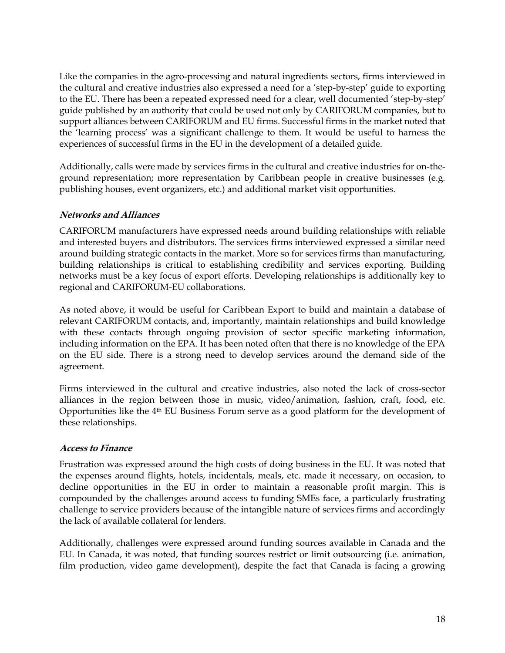Like the companies in the agro-processing and natural ingredients sectors, firms interviewed in the cultural and creative industries also expressed a need for a 'step-by-step' guide to exporting to the EU. There has been a repeated expressed need for a clear, well documented 'step-by-step' guide published by an authority that could be used not only by CARIFORUM companies, but to support alliances between CARIFORUM and EU firms. Successful firms in the market noted that the 'learning process' was a significant challenge to them. It would be useful to harness the experiences of successful firms in the EU in the development of a detailed guide.

Additionally, calls were made by services firms in the cultural and creative industries for on-theground representation; more representation by Caribbean people in creative businesses (e.g. publishing houses, event organizers, etc.) and additional market visit opportunities.

#### **Networks and Alliances**

<span id="page-20-0"></span>CARIFORUM manufacturers have expressed needs around building relationships with reliable and interested buyers and distributors. The services firms interviewed expressed a similar need around building strategic contacts in the market. More so for services firms than manufacturing, building relationships is critical to establishing credibility and services exporting. Building networks must be a key focus of export efforts. Developing relationships is additionally key to regional and CARIFORUM-EU collaborations.

As noted above, it would be useful for Caribbean Export to build and maintain a database of relevant CARIFORUM contacts, and, importantly, maintain relationships and build knowledge with these contacts through ongoing provision of sector specific marketing information, including information on the EPA. It has been noted often that there is no knowledge of the EPA on the EU side. There is a strong need to develop services around the demand side of the agreement.

Firms interviewed in the cultural and creative industries, also noted the lack of cross-sector alliances in the region between those in music, video/animation, fashion, craft, food, etc. Opportunities like the  $4<sup>th</sup>$  EU Business Forum serve as a good platform for the development of these relationships.

#### **Access to Finance**

<span id="page-20-1"></span>Frustration was expressed around the high costs of doing business in the EU. It was noted that the expenses around flights, hotels, incidentals, meals, etc. made it necessary, on occasion, to decline opportunities in the EU in order to maintain a reasonable profit margin. This is compounded by the challenges around access to funding SMEs face, a particularly frustrating challenge to service providers because of the intangible nature of services firms and accordingly the lack of available collateral for lenders.

Additionally, challenges were expressed around funding sources available in Canada and the EU. In Canada, it was noted, that funding sources restrict or limit outsourcing (i.e. animation, film production, video game development), despite the fact that Canada is facing a growing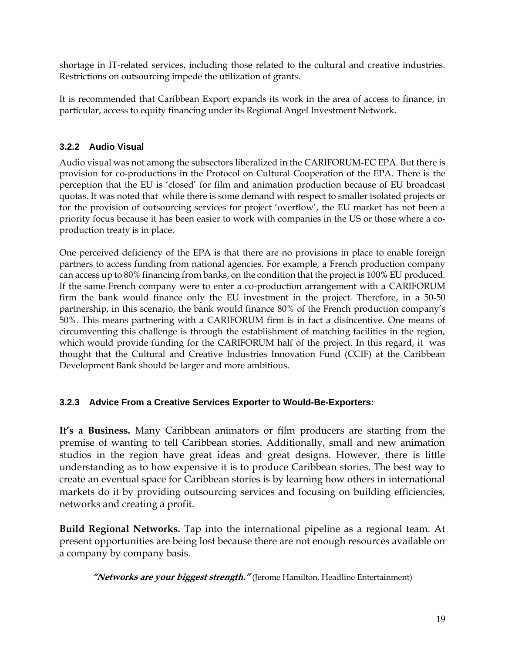shortage in IT-related services, including those related to the cultural and creative industries. Restrictions on outsourcing impede the utilization of grants.

It is recommended that Caribbean Export expands its work in the area of access to finance, in particular, access to equity financing under its Regional Angel Investment Network.

#### **3.2.2 Audio Visual**

<span id="page-21-0"></span>Audio visual was not among the subsectors liberalized in the CARIFORUM-EC EPA. But there is provision for co-productions in the Protocol on Cultural Cooperation of the EPA. There is the perception that the EU is 'closed' for film and animation production because of EU broadcast quotas. It was noted that while there is some demand with respect to smaller isolated projects or for the provision of outsourcing services for project 'overflow', the EU market has not been a priority focus because it has been easier to work with companies in the US or those where a coproduction treaty is in place.

One perceived deficiency of the EPA is that there are no provisions in place to enable foreign partners to access funding from national agencies. For example, a French production company can access up to 80% financing from banks, on the condition that the project is 100% EU produced. If the same French company were to enter a co-production arrangement with a CARIFORUM firm the bank would finance only the EU investment in the project. Therefore, in a 50-50 partnership, in this scenario, the bank would finance 80% of the French production company's 50%. This means partnering with a CARIFORUM firm is in fact a disincentive. One means of circumventing this challenge is through the establishment of matching facilities in the region, which would provide funding for the CARIFORUM half of the project. In this regard, it was thought that the Cultural and Creative Industries Innovation Fund (CCIF) at the Caribbean Development Bank should be larger and more ambitious.

#### **3.2.3 Advice From a Creative Services Exporter to Would-Be-Exporters:**

<span id="page-21-1"></span>**It's a Business.** Many Caribbean animators or film producers are starting from the premise of wanting to tell Caribbean stories. Additionally, small and new animation studios in the region have great ideas and great designs. However, there is little understanding as to how expensive it is to produce Caribbean stories. The best way to create an eventual space for Caribbean stories is by learning how others in international markets do it by providing outsourcing services and focusing on building efficiencies, networks and creating a profit.

**Build Regional Networks.** Tap into the international pipeline as a regional team. At present opportunities are being lost because there are not enough resources available on a company by company basis.

**"Networks are your biggest strength."** (Jerome Hamilton, Headline Entertainment)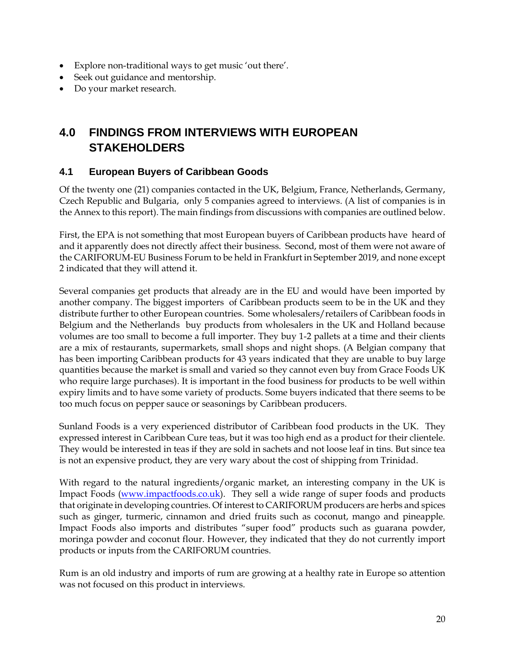- Explore non-traditional ways to get music 'out there'.
- Seek out guidance and mentorship.
- Do your market research.

## **4.0 FINDINGS FROM INTERVIEWS WITH EUROPEAN STAKEHOLDERS**

### <span id="page-22-0"></span>**4.1 European Buyers of Caribbean Goods**

Of the twenty one (21) companies contacted in the UK, Belgium, France, Netherlands, Germany, Czech Republic and Bulgaria, only 5 companies agreed to interviews. (A list of companies is in the Annex to this report). The main findings from discussions with companies are outlined below.

<span id="page-22-1"></span>First, the EPA is not something that most European buyers of Caribbean products have heard of and it apparently does not directly affect their business. Second, most of them were not aware of the CARIFORUM-EU Business Forum to be held in Frankfurt in September 2019, and none except 2 indicated that they will attend it.

Several companies get products that already are in the EU and would have been imported by another company. The biggest importers of Caribbean products seem to be in the UK and they distribute further to other European countries. Some wholesalers/retailers of Caribbean foods in Belgium and the Netherlands buy products from wholesalers in the UK and Holland because volumes are too small to become a full importer. They buy 1-2 pallets at a time and their clients are a mix of restaurants, supermarkets, small shops and night shops. (A Belgian company that has been importing Caribbean products for 43 years indicated that they are unable to buy large quantities because the market is small and varied so they cannot even buy from Grace Foods UK who require large purchases). It is important in the food business for products to be well within expiry limits and to have some variety of products. Some buyers indicated that there seems to be too much focus on pepper sauce or seasonings by Caribbean producers.

Sunland Foods is a very experienced distributor of Caribbean food products in the UK. They expressed interest in Caribbean Cure teas, but it was too high end as a product for their clientele. They would be interested in teas if they are sold in sachets and not loose leaf in tins. But since tea is not an expensive product, they are very wary about the cost of shipping from Trinidad.

With regard to the natural ingredients/organic market, an interesting company in the UK is Impact Foods [\(www.impactfoods.co.uk\)](http://www.impactfoods.co.uk/). They sell a wide range of super foods and products that originate in developing countries. Of interest to CARIFORUM producers are herbs and spices such as ginger, turmeric, cinnamon and dried fruits such as coconut, mango and pineapple. Impact Foods also imports and distributes "super food" products such as guarana powder, moringa powder and coconut flour. However, they indicated that they do not currently import products or inputs from the CARIFORUM countries.

Rum is an old industry and imports of rum are growing at a healthy rate in Europe so attention was not focused on this product in interviews.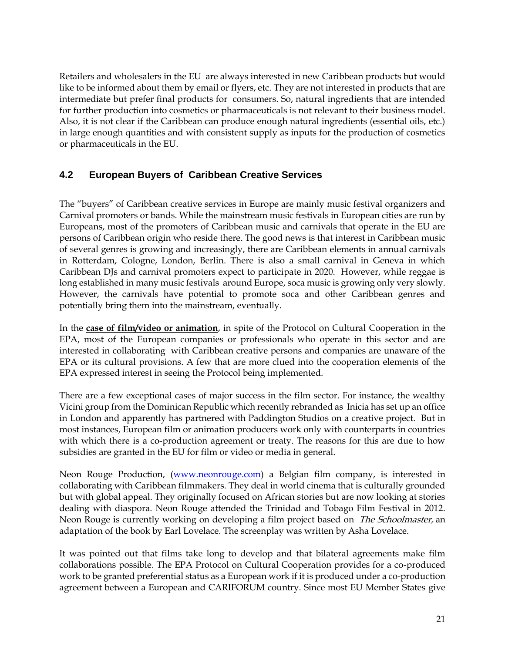Retailers and wholesalers in the EU are always interested in new Caribbean products but would like to be informed about them by email or flyers, etc. They are not interested in products that are intermediate but prefer final products for consumers. So, natural ingredients that are intended for further production into cosmetics or pharmaceuticals is not relevant to their business model. Also, it is not clear if the Caribbean can produce enough natural ingredients (essential oils, etc.) in large enough quantities and with consistent supply as inputs for the production of cosmetics or pharmaceuticals in the EU.

## **4.2 European Buyers of Caribbean Creative Services**

<span id="page-23-0"></span>The "buyers" of Caribbean creative services in Europe are mainly music festival organizers and Carnival promoters or bands. While the mainstream music festivals in European cities are run by Europeans, most of the promoters of Caribbean music and carnivals that operate in the EU are persons of Caribbean origin who reside there. The good news is that interest in Caribbean music of several genres is growing and increasingly, there are Caribbean elements in annual carnivals in Rotterdam, Cologne, London, Berlin. There is also a small carnival in Geneva in which Caribbean DJs and carnival promoters expect to participate in 2020. However, while reggae is long established in many music festivals around Europe, soca music is growing only very slowly. However, the carnivals have potential to promote soca and other Caribbean genres and potentially bring them into the mainstream, eventually.

In the **case of film/video or animation**, in spite of the Protocol on Cultural Cooperation in the EPA, most of the European companies or professionals who operate in this sector and are interested in collaborating with Caribbean creative persons and companies are unaware of the EPA or its cultural provisions. A few that are more clued into the cooperation elements of the EPA expressed interest in seeing the Protocol being implemented.

There are a few exceptional cases of major success in the film sector. For instance, the wealthy Vicini group from the Dominican Republic which recently rebranded as Inicia has set up an office in London and apparently has partnered with Paddington Studios on a creative project. But in most instances, European film or animation producers work only with counterparts in countries with which there is a co-production agreement or treaty. The reasons for this are due to how subsidies are granted in the EU for film or video or media in general.

Neon Rouge Production, [\(www.neonrouge.com\)](http://www.neonrouge.com/) a Belgian film company, is interested in collaborating with Caribbean filmmakers. They deal in world cinema that is culturally grounded but with global appeal. They originally focused on African stories but are now looking at stories dealing with diaspora. Neon Rouge attended the Trinidad and Tobago Film Festival in 2012. Neon Rouge is currently working on developing a film project based on *The Schoolmaster*, an adaptation of the book by Earl Lovelace. The screenplay was written by Asha Lovelace.

It was pointed out that films take long to develop and that bilateral agreements make film collaborations possible. The EPA Protocol on Cultural Cooperation provides for a co-produced work to be granted preferential status as a European work if it is produced under a co-production agreement between a European and CARIFORUM country. Since most EU Member States give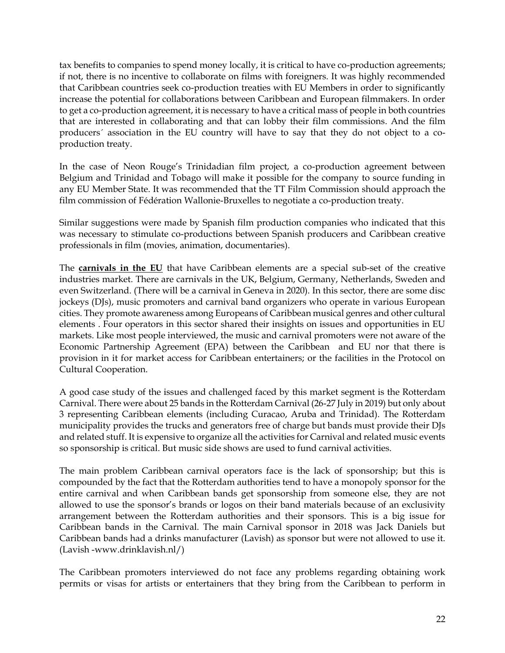tax benefits to companies to spend money locally, it is critical to have co-production agreements; if not, there is no incentive to collaborate on films with foreigners. It was highly recommended that Caribbean countries seek co-production treaties with EU Members in order to significantly increase the potential for collaborations between Caribbean and European filmmakers. In order to get a co-production agreement, it is necessary to have a critical mass of people in both countries that are interested in collaborating and that can lobby their film commissions. And the film producers´ association in the EU country will have to say that they do not object to a coproduction treaty.

In the case of Neon Rouge's Trinidadian film project, a co-production agreement between Belgium and Trinidad and Tobago will make it possible for the company to source funding in any EU Member State. It was recommended that the TT Film Commission should approach the film commission of Fédération Wallonie-Bruxelles to negotiate a co-production treaty.

Similar suggestions were made by Spanish film production companies who indicated that this was necessary to stimulate co-productions between Spanish producers and Caribbean creative professionals in film (movies, animation, documentaries).

The **carnivals in the EU** that have Caribbean elements are a special sub-set of the creative industries market. There are carnivals in the UK, Belgium, Germany, Netherlands, Sweden and even Switzerland. (There will be a carnival in Geneva in 2020). In this sector, there are some disc jockeys (DJs), music promoters and carnival band organizers who operate in various European cities. They promote awareness among Europeans of Caribbean musical genres and other cultural elements . Four operators in this sector shared their insights on issues and opportunities in EU markets. Like most people interviewed, the music and carnival promoters were not aware of the Economic Partnership Agreement (EPA) between the Caribbean and EU nor that there is provision in it for market access for Caribbean entertainers; or the facilities in the Protocol on Cultural Cooperation.

A good case study of the issues and challenged faced by this market segment is the Rotterdam Carnival. There were about 25 bands in the Rotterdam Carnival (26-27 July in 2019) but only about 3 representing Caribbean elements (including Curacao, Aruba and Trinidad). The Rotterdam municipality provides the trucks and generators free of charge but bands must provide their DJs and related stuff. It is expensive to organize all the activities for Carnival and related music events so sponsorship is critical. But music side shows are used to fund carnival activities.

The main problem Caribbean carnival operators face is the lack of sponsorship; but this is compounded by the fact that the Rotterdam authorities tend to have a monopoly sponsor for the entire carnival and when Caribbean bands get sponsorship from someone else, they are not allowed to use the sponsor's brands or logos on their band materials because of an exclusivity arrangement between the Rotterdam authorities and their sponsors. This is a big issue for Caribbean bands in the Carnival. The main Carnival sponsor in 2018 was Jack Daniels but Caribbean bands had a drinks manufacturer (Lavish) as sponsor but were not allowed to use it. (Lavish -www.drinklavish.nl/)

The Caribbean promoters interviewed do not face any problems regarding obtaining work permits or visas for artists or entertainers that they bring from the Caribbean to perform in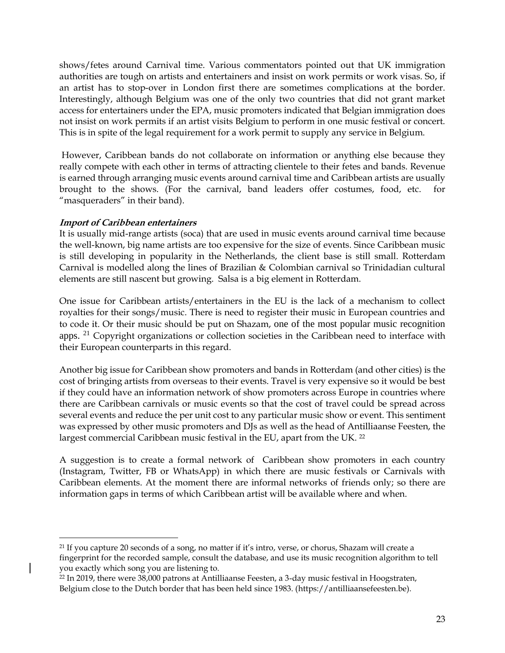shows/fetes around Carnival time. Various commentators pointed out that UK immigration authorities are tough on artists and entertainers and insist on work permits or work visas. So, if an artist has to stop-over in London first there are sometimes complications at the border. Interestingly, although Belgium was one of the only two countries that did not grant market access for entertainers under the EPA, music promoters indicated that Belgian immigration does not insist on work permits if an artist visits Belgium to perform in one music festival or concert. This is in spite of the legal requirement for a work permit to supply any service in Belgium.

However, Caribbean bands do not collaborate on information or anything else because they really compete with each other in terms of attracting clientele to their fetes and bands. Revenue is earned through arranging music events around carnival time and Caribbean artists are usually brought to the shows. (For the carnival, band leaders offer costumes, food, etc. for "masqueraders" in their band).

#### **Import of Caribbean entertainers**

It is usually mid-range artists (soca) that are used in music events around carnival time because the well-known, big name artists are too expensive for the size of events. Since Caribbean music is still developing in popularity in the Netherlands, the client base is still small. Rotterdam Carnival is modelled along the lines of Brazilian & Colombian carnival so Trinidadian cultural elements are still nascent but growing. Salsa is a big element in Rotterdam.

One issue for Caribbean artists/entertainers in the EU is the lack of a mechanism to collect royalties for their songs/music. There is need to register their music in European countries and to code it. Or their music should be put on Shazam, one of the most popular music recognition apps. <sup>21</sup> Copyright organizations or collection societies in the Caribbean need to interface with their European counterparts in this regard.

Another big issue for Caribbean show promoters and bands in Rotterdam (and other cities) is the cost of bringing artists from overseas to their events. Travel is very expensive so it would be best if they could have an information network of show promoters across Europe in countries where there are Caribbean carnivals or music events so that the cost of travel could be spread across several events and reduce the per unit cost to any particular music show or event. This sentiment was expressed by other music promoters and DJs as well as the head of Antilliaanse Feesten, the largest commercial Caribbean music festival in the EU, apart from the UK.<sup>22</sup>

A suggestion is to create a formal network of Caribbean show promoters in each country (Instagram, Twitter, FB or WhatsApp) in which there are music festivals or Carnivals with Caribbean elements. At the moment there are informal networks of friends only; so there are information gaps in terms of which Caribbean artist will be available where and when.

<sup>&</sup>lt;sup>21</sup> If you capture 20 seconds of a song, no matter if it's intro, verse, or chorus, Shazam will create a fingerprint for the recorded sample, consult the database, and use its music recognition algorithm to tell you exactly which song you are listening to.

<sup>&</sup>lt;sup>22</sup> In 2019, there were 38,000 patrons at Antilliaanse Feesten, a 3-day music festival in Hoogstraten, Belgium close to the Dutch border that has been held since 1983. (https://antilliaansefeesten.be).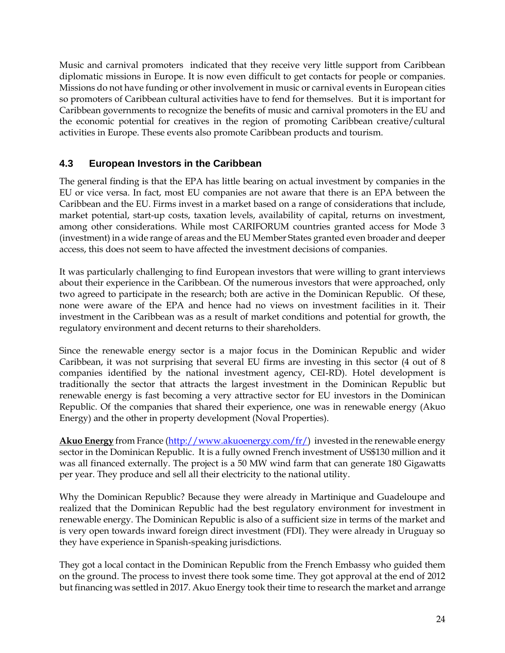Music and carnival promoters indicated that they receive very little support from Caribbean diplomatic missions in Europe. It is now even difficult to get contacts for people or companies. Missions do not have funding or other involvement in music or carnival events in European cities so promoters of Caribbean cultural activities have to fend for themselves. But it is important for Caribbean governments to recognize the benefits of music and carnival promoters in the EU and the economic potential for creatives in the region of promoting Caribbean creative/cultural activities in Europe. These events also promote Caribbean products and tourism.

## **4.3 European Investors in the Caribbean**

<span id="page-26-0"></span>The general finding is that the EPA has little bearing on actual investment by companies in the EU or vice versa. In fact, most EU companies are not aware that there is an EPA between the Caribbean and the EU. Firms invest in a market based on a range of considerations that include, market potential, start-up costs, taxation levels, availability of capital, returns on investment, among other considerations. While most CARIFORUM countries granted access for Mode 3 (investment) in a wide range of areas and the EU Member States granted even broader and deeper access, this does not seem to have affected the investment decisions of companies.

It was particularly challenging to find European investors that were willing to grant interviews about their experience in the Caribbean. Of the numerous investors that were approached, only two agreed to participate in the research; both are active in the Dominican Republic. Of these, none were aware of the EPA and hence had no views on investment facilities in it. Their investment in the Caribbean was as a result of market conditions and potential for growth, the regulatory environment and decent returns to their shareholders.

Since the renewable energy sector is a major focus in the Dominican Republic and wider Caribbean, it was not surprising that several EU firms are investing in this sector (4 out of 8 companies identified by the national investment agency, CEI-RD). Hotel development is traditionally the sector that attracts the largest investment in the Dominican Republic but renewable energy is fast becoming a very attractive sector for EU investors in the Dominican Republic. Of the companies that shared their experience, one was in renewable energy (Akuo Energy) and the other in property development (Noval Properties).

**Akuo Energy** from France [\(http://www.akuoenergy.com/fr/\)](http://www.akuoenergy.com/fr/) invested in the renewable energy sector in the Dominican Republic. It is a fully owned French investment of US\$130 million and it was all financed externally. The project is a 50 MW wind farm that can generate 180 Gigawatts per year. They produce and sell all their electricity to the national utility.

Why the Dominican Republic? Because they were already in Martinique and Guadeloupe and realized that the Dominican Republic had the best regulatory environment for investment in renewable energy. The Dominican Republic is also of a sufficient size in terms of the market and is very open towards inward foreign direct investment (FDI). They were already in Uruguay so they have experience in Spanish-speaking jurisdictions.

They got a local contact in the Dominican Republic from the French Embassy who guided them on the ground. The process to invest there took some time. They got approval at the end of 2012 but financing was settled in 2017. Akuo Energy took their time to research the market and arrange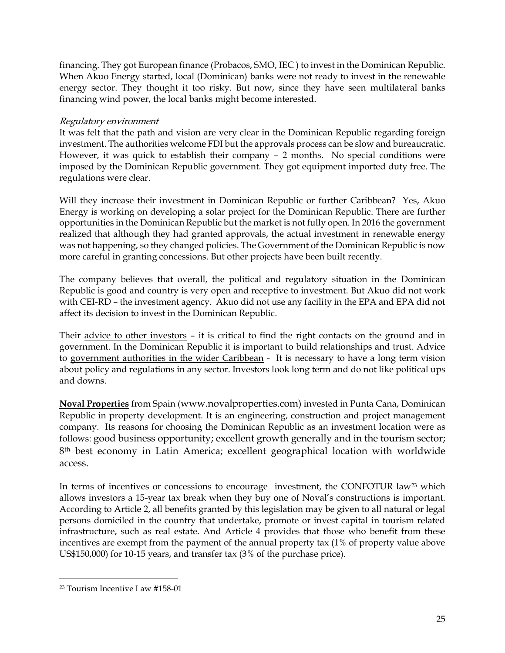financing. They got European finance (Probacos, SMO, IEC ) to invest in the Dominican Republic. When Akuo Energy started, local (Dominican) banks were not ready to invest in the renewable energy sector. They thought it too risky. But now, since they have seen multilateral banks financing wind power, the local banks might become interested.

#### Regulatory environment

It was felt that the path and vision are very clear in the Dominican Republic regarding foreign investment. The authorities welcome FDI but the approvals process can be slow and bureaucratic. However, it was quick to establish their company – 2 months. No special conditions were imposed by the Dominican Republic government. They got equipment imported duty free. The regulations were clear.

Will they increase their investment in Dominican Republic or further Caribbean? Yes, Akuo Energy is working on developing a solar project for the Dominican Republic. There are further opportunities in the Dominican Republic but the market is not fully open. In 2016 the government realized that although they had granted approvals, the actual investment in renewable energy was not happening, so they changed policies. The Government of the Dominican Republic is now more careful in granting concessions. But other projects have been built recently.

The company believes that overall, the political and regulatory situation in the Dominican Republic is good and country is very open and receptive to investment. But Akuo did not work with CEI-RD – the investment agency. Akuo did not use any facility in the EPA and EPA did not affect its decision to invest in the Dominican Republic.

Their advice to other investors - it is critical to find the right contacts on the ground and in government. In the Dominican Republic it is important to build relationships and trust. Advice to government authorities in the wider Caribbean - It is necessary to have a long term vision about policy and regulations in any sector. Investors look long term and do not like political ups and downs.

**Noval Properties** from Spain (www.novalproperties.com) invested in Punta Cana, Dominican Republic in property development. It is an engineering, construction and project management company. Its reasons for choosing the Dominican Republic as an investment location were as follows: good business opportunity; excellent growth generally and in the tourism sector; 8<sup>th</sup> best economy in Latin America; excellent geographical location with worldwide access.

In terms of incentives or concessions to encourage investment, the CONFOTUR law<sup>23</sup> which allows investors a 15-year tax break when they buy one of Noval's constructions is important. According to Article 2, all benefits granted by this legislation may be given to all natural or legal persons domiciled in the country that undertake, promote or invest capital in tourism related infrastructure, such as real estate. And Article 4 provides that those who benefit from these incentives are exempt from the payment of the annual property tax (1% of property value above US\$150,000) for 10-15 years, and transfer tax (3% of the purchase price).

<sup>23</sup> Tourism Incentive Law #158-01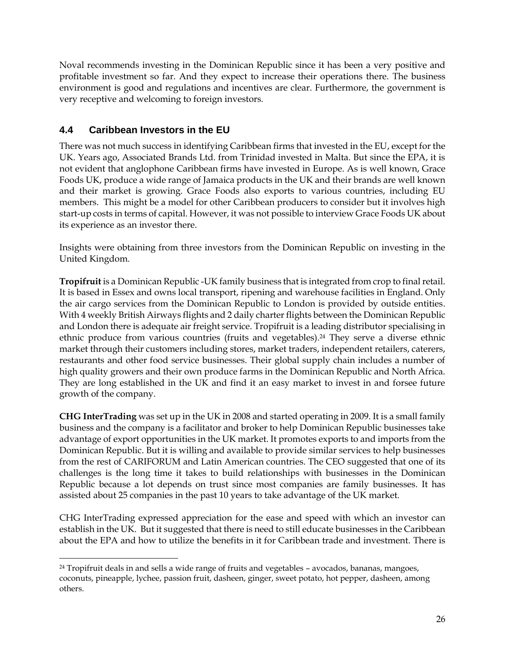Noval recommends investing in the Dominican Republic since it has been a very positive and profitable investment so far. And they expect to increase their operations there. The business environment is good and regulations and incentives are clear. Furthermore, the government is very receptive and welcoming to foreign investors.

## **4.4 Caribbean Investors in the EU**

<span id="page-28-0"></span>There was not much success in identifying Caribbean firms that invested in the EU, except for the UK. Years ago, Associated Brands Ltd. from Trinidad invested in Malta. But since the EPA, it is not evident that anglophone Caribbean firms have invested in Europe. As is well known, Grace Foods UK, produce a wide range of Jamaica products in the UK and their brands are well known and their market is growing. Grace Foods also exports to various countries, including EU members. This might be a model for other Caribbean producers to consider but it involves high start-up costs in terms of capital. However, it was not possible to interview Grace Foods UK about its experience as an investor there.

Insights were obtaining from three investors from the Dominican Republic on investing in the United Kingdom.

**Tropifruit** is a Dominican Republic -UK family business that is integrated from crop to final retail. It is based in Essex and owns local transport, ripening and warehouse facilities in England. Only the air cargo services from the Dominican Republic to London is provided by outside entities. With 4 weekly British Airways flights and 2 daily charter flights between the Dominican Republic and London there is adequate air freight service. Tropifruit is a leading distributor specialising in ethnic produce from various countries (fruits and vegetables). <sup>24</sup> They serve a diverse ethnic market through their customers including stores, market traders, independent retailers, caterers, restaurants and other food service businesses. Their global supply chain includes a number of high quality growers and their own produce farms in the Dominican Republic and North Africa. They are long established in the UK and find it an easy market to invest in and forsee future growth of the company.

**CHG InterTrading** was set up in the UK in 2008 and started operating in 2009. It is a small family business and the company is a facilitator and broker to help Dominican Republic businesses take advantage of export opportunities in the UK market. It promotes exports to and imports from the Dominican Republic. But it is willing and available to provide similar services to help businesses from the rest of CARIFORUM and Latin American countries. The CEO suggested that one of its challenges is the long time it takes to build relationships with businesses in the Dominican Republic because a lot depends on trust since most companies are family businesses. It has assisted about 25 companies in the past 10 years to take advantage of the UK market.

CHG InterTrading expressed appreciation for the ease and speed with which an investor can establish in the UK. But it suggested that there is need to still educate businesses in the Caribbean about the EPA and how to utilize the benefits in it for Caribbean trade and investment. There is

<sup>24</sup> Tropifruit deals in and sells a wide range of fruits and vegetables – avocados, bananas, mangoes, coconuts, pineapple, lychee, passion fruit, dasheen, ginger, sweet potato, hot pepper, dasheen, among others.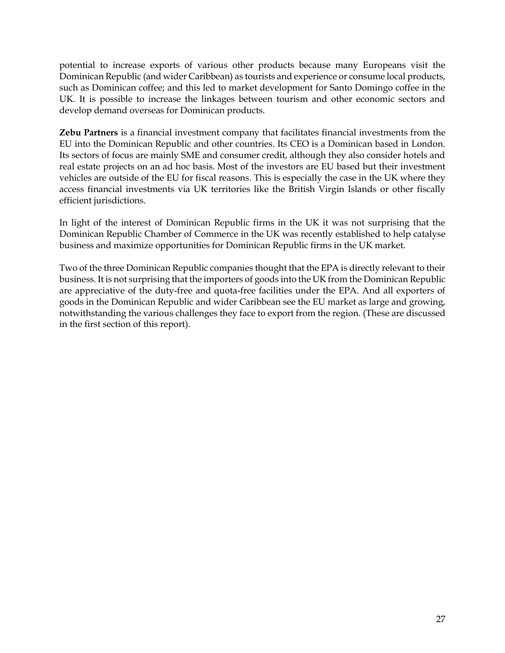potential to increase exports of various other products because many Europeans visit the Dominican Republic (and wider Caribbean) as tourists and experience or consume local products, such as Dominican coffee; and this led to market development for Santo Domingo coffee in the UK. It is possible to increase the linkages between tourism and other economic sectors and develop demand overseas for Dominican products.

**Zebu Partners** is a financial investment company that facilitates financial investments from the EU into the Dominican Republic and other countries. Its CEO is a Dominican based in London. Its sectors of focus are mainly SME and consumer credit, although they also consider hotels and real estate projects on an ad hoc basis. Most of the investors are EU based but their investment vehicles are outside of the EU for fiscal reasons. This is especially the case in the UK where they access financial investments via UK territories like the British Virgin Islands or other fiscally efficient jurisdictions.

In light of the interest of Dominican Republic firms in the UK it was not surprising that the Dominican Republic Chamber of Commerce in the UK was recently established to help catalyse business and maximize opportunities for Dominican Republic firms in the UK market.

Two of the three Dominican Republic companies thought that the EPA is directly relevant to their business. It is not surprising that the importers of goods into the UK from the Dominican Republic are appreciative of the duty-free and quota-free facilities under the EPA. And all exporters of goods in the Dominican Republic and wider Caribbean see the EU market as large and growing, notwithstanding the various challenges they face to export from the region. (These are discussed in the first section of this report).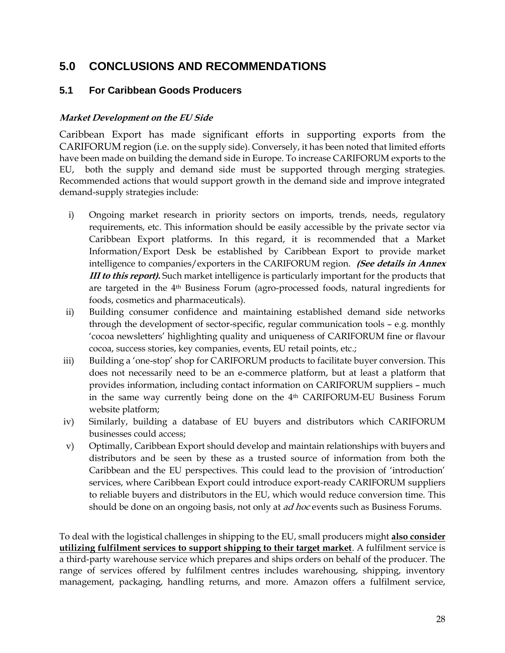## **5.0 CONCLUSIONS AND RECOMMENDATIONS**

## **5.1 For Caribbean Goods Producers**

#### <span id="page-30-0"></span>**Market Development on the EU Side**

<span id="page-30-2"></span><span id="page-30-1"></span>Caribbean Export has made significant efforts in supporting exports from the CARIFORUM region (i.e. on the supply side). Conversely, it has been noted that limited efforts have been made on building the demand side in Europe. To increase CARIFORUM exports to the EU, both the supply and demand side must be supported through merging strategies. Recommended actions that would support growth in the demand side and improve integrated demand-supply strategies include:

- i) Ongoing market research in priority sectors on imports, trends, needs, regulatory requirements, etc. This information should be easily accessible by the private sector via Caribbean Export platforms. In this regard, it is recommended that a Market Information/Export Desk be established by Caribbean Export to provide market intelligence to companies/exporters in the CARIFORUM region. **(See details in Annex III to this report).** Such market intelligence is particularly important for the products that are targeted in the 4th Business Forum (agro-processed foods, natural ingredients for foods, cosmetics and pharmaceuticals).
- ii) Building consumer confidence and maintaining established demand side networks through the development of sector-specific, regular communication tools – e.g. monthly 'cocoa newsletters' highlighting quality and uniqueness of CARIFORUM fine or flavour cocoa, success stories, key companies, events, EU retail points, etc.;
- iii) Building a 'one-stop' shop for CARIFORUM products to facilitate buyer conversion. This does not necessarily need to be an e-commerce platform, but at least a platform that provides information, including contact information on CARIFORUM suppliers – much in the same way currently being done on the 4th CARIFORUM-EU Business Forum website platform;
- iv) Similarly, building a database of EU buyers and distributors which CARIFORUM businesses could access;
- v) Optimally, Caribbean Export should develop and maintain relationships with buyers and distributors and be seen by these as a trusted source of information from both the Caribbean and the EU perspectives. This could lead to the provision of 'introduction' services, where Caribbean Export could introduce export-ready CARIFORUM suppliers to reliable buyers and distributors in the EU, which would reduce conversion time. This should be done on an ongoing basis, not only at *ad hoc* events such as Business Forums.

To deal with the logistical challenges in shipping to the EU, small producers might **also consider utilizing fulfilment services to support shipping to their target market**. A fulfilment service is a third-party warehouse service which prepares and ships orders on behalf of the producer. The range of services offered by fulfilment centres includes warehousing, shipping, inventory management, packaging, handling returns, and more. Amazon offers a fulfilment service,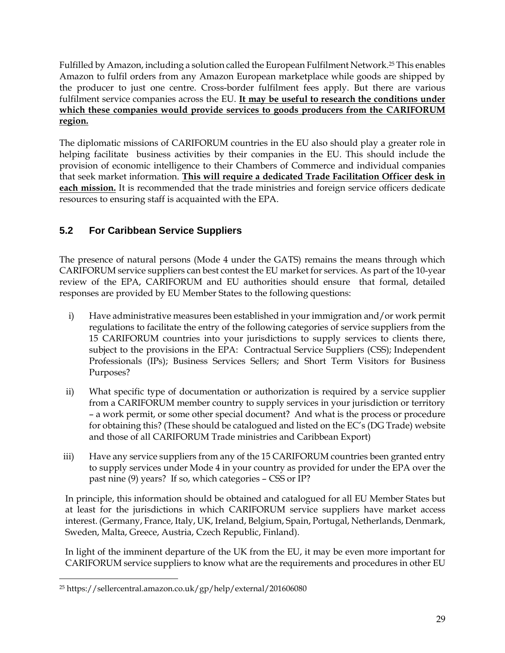Fulfilled by Amazon, including a solution called the European Fulfilment Network.<sup>25</sup> This enables Amazon to fulfil orders from any Amazon European marketplace while goods are shipped by the producer to just one centre. Cross-border fulfilment fees apply. But there are various fulfilment service companies across the EU. **It may be useful to research the conditions under which these companies would provide services to goods producers from the CARIFORUM region.**

The diplomatic missions of CARIFORUM countries in the EU also should play a greater role in helping facilitate business activities by their companies in the EU. This should include the provision of economic intelligence to their Chambers of Commerce and individual companies that seek market information. **This will require a dedicated Trade Facilitation Officer desk in each mission.** It is recommended that the trade ministries and foreign service officers dedicate resources to ensuring staff is acquainted with the EPA.

## **5.2 For Caribbean Service Suppliers**

<span id="page-31-0"></span>The presence of natural persons (Mode 4 under the GATS) remains the means through which CARIFORUM service suppliers can best contest the EU market for services. As part of the 10-year review of the EPA, CARIFORUM and EU authorities should ensure that formal, detailed responses are provided by EU Member States to the following questions:

- i) Have administrative measures been established in your immigration and/or work permit regulations to facilitate the entry of the following categories of service suppliers from the 15 CARIFORUM countries into your jurisdictions to supply services to clients there, subject to the provisions in the EPA: Contractual Service Suppliers (CSS); Independent Professionals (IPs); Business Services Sellers; and Short Term Visitors for Business Purposes?
- ii) What specific type of documentation or authorization is required by a service supplier from a CARIFORUM member country to supply services in your jurisdiction or territory – a work permit, or some other special document? And what is the process or procedure for obtaining this? (These should be catalogued and listed on the EC's (DG Trade) website and those of all CARIFORUM Trade ministries and Caribbean Export)
- iii) Have any service suppliers from any of the 15 CARIFORUM countries been granted entry to supply services under Mode 4 in your country as provided for under the EPA over the past nine (9) years? If so, which categories – CSS or IP?

In principle, this information should be obtained and catalogued for all EU Member States but at least for the jurisdictions in which CARIFORUM service suppliers have market access interest. (Germany, France, Italy, UK, Ireland, Belgium, Spain, Portugal, Netherlands, Denmark, Sweden, Malta, Greece, Austria, Czech Republic, Finland).

In light of the imminent departure of the UK from the EU, it may be even more important for CARIFORUM service suppliers to know what are the requirements and procedures in other EU

<sup>25</sup> https://sellercentral.amazon.co.uk/gp/help/external/201606080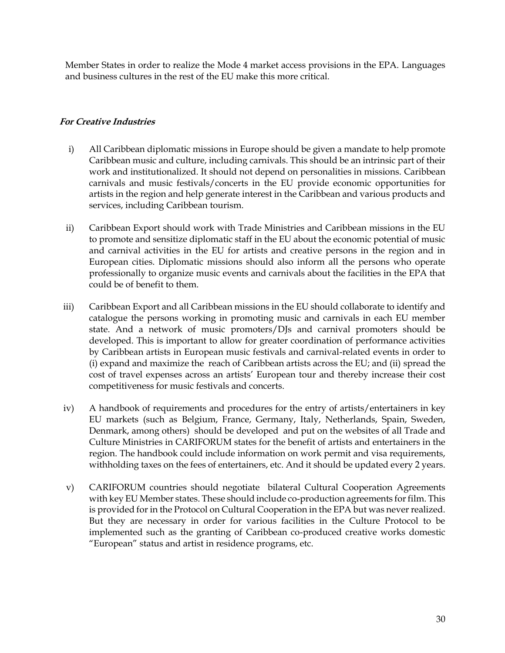Member States in order to realize the Mode 4 market access provisions in the EPA. Languages and business cultures in the rest of the EU make this more critical.

#### **For Creative Industries**

- <span id="page-32-0"></span>i) All Caribbean diplomatic missions in Europe should be given a mandate to help promote Caribbean music and culture, including carnivals. This should be an intrinsic part of their work and institutionalized. It should not depend on personalities in missions. Caribbean carnivals and music festivals/concerts in the EU provide economic opportunities for artists in the region and help generate interest in the Caribbean and various products and services, including Caribbean tourism.
- ii) Caribbean Export should work with Trade Ministries and Caribbean missions in the EU to promote and sensitize diplomatic staff in the EU about the economic potential of music and carnival activities in the EU for artists and creative persons in the region and in European cities. Diplomatic missions should also inform all the persons who operate professionally to organize music events and carnivals about the facilities in the EPA that could be of benefit to them.
- iii) Caribbean Export and all Caribbean missions in the EU should collaborate to identify and catalogue the persons working in promoting music and carnivals in each EU member state. And a network of music promoters/DJs and carnival promoters should be developed. This is important to allow for greater coordination of performance activities by Caribbean artists in European music festivals and carnival-related events in order to (i) expand and maximize the reach of Caribbean artists across the EU; and (ii) spread the cost of travel expenses across an artists' European tour and thereby increase their cost competitiveness for music festivals and concerts.
- iv) A handbook of requirements and procedures for the entry of artists/entertainers in key EU markets (such as Belgium, France, Germany, Italy, Netherlands, Spain, Sweden, Denmark, among others) should be developed and put on the websites of all Trade and Culture Ministries in CARIFORUM states for the benefit of artists and entertainers in the region. The handbook could include information on work permit and visa requirements, withholding taxes on the fees of entertainers, etc. And it should be updated every 2 years.
- v) CARIFORUM countries should negotiate bilateral Cultural Cooperation Agreements with key EU Member states. These should include co-production agreements for film. This is provided for in the Protocol on Cultural Cooperation in the EPA but was never realized. But they are necessary in order for various facilities in the Culture Protocol to be implemented such as the granting of Caribbean co-produced creative works domestic "European" status and artist in residence programs, etc.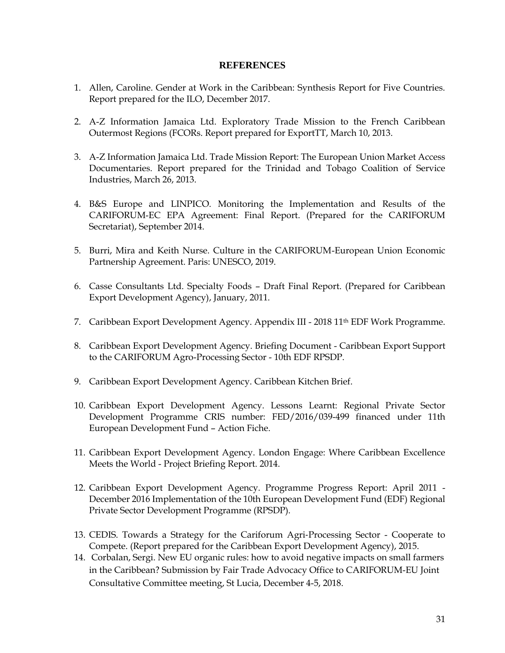#### **REFERENCES**

- 1. Allen, Caroline. Gender at Work in the Caribbean: Synthesis Report for Five Countries. Report prepared for the ILO, December 2017.
- 2. A-Z Information Jamaica Ltd. Exploratory Trade Mission to the French Caribbean Outermost Regions (FCORs. Report prepared for ExportTT, March 10, 2013.
- 3. A-Z Information Jamaica Ltd. Trade Mission Report: The European Union Market Access Documentaries. Report prepared for the Trinidad and Tobago Coalition of Service Industries, March 26, 2013.
- 4. B&S Europe and LINPICO. Monitoring the Implementation and Results of the CARIFORUM-EC EPA Agreement: Final Report. (Prepared for the CARIFORUM Secretariat), September 2014.
- 5. Burri, Mira and Keith Nurse. Culture in the CARIFORUM-European Union Economic Partnership Agreement. Paris: UNESCO, 2019.
- 6. Casse Consultants Ltd. Specialty Foods Draft Final Report. (Prepared for Caribbean Export Development Agency), January, 2011.
- 7. Caribbean Export Development Agency. Appendix III 2018 11<sup>th</sup> EDF Work Programme.
- 8. Caribbean Export Development Agency. Briefing Document Caribbean Export Support to the CARIFORUM Agro-Processing Sector - 10th EDF RPSDP.
- 9. Caribbean Export Development Agency. Caribbean Kitchen Brief.
- 10. Caribbean Export Development Agency. Lessons Learnt: Regional Private Sector Development Programme CRIS number: FED/2016/039-499 financed under 11th European Development Fund – Action Fiche.
- 11. Caribbean Export Development Agency. London Engage: Where Caribbean Excellence Meets the World - Project Briefing Report. 2014.
- 12. Caribbean Export Development Agency. Programme Progress Report: April 2011 December 2016 Implementation of the 10th European Development Fund (EDF) Regional Private Sector Development Programme (RPSDP).
- 13. CEDIS. Towards a Strategy for the Cariforum Agri‐Processing Sector Cooperate to Compete. (Report prepared for the Caribbean Export Development Agency), 2015.
- 14. Corbalan, Sergi. New EU organic rules: how to avoid negative impacts on small farmers in the Caribbean? Submission by Fair Trade Advocacy Office to CARIFORUM-EU Joint Consultative Committee meeting, St Lucia, December 4-5, 2018.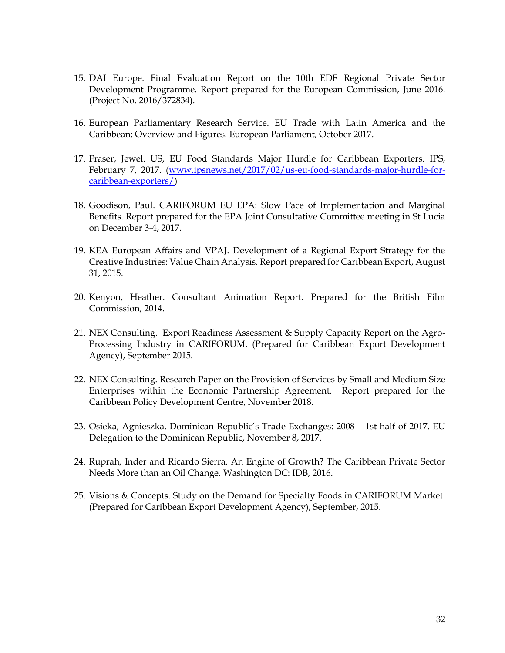- 15. DAI Europe. Final Evaluation Report on the 10th EDF Regional Private Sector Development Programme. Report prepared for the European Commission, June 2016. (Project No. 2016/372834).
- 16. European Parliamentary Research Service. EU Trade with Latin America and the Caribbean: Overview and Figures. European Parliament, October 2017.
- 17. Fraser, Jewel. US, EU Food Standards Major Hurdle for Caribbean Exporters. IPS, February 7, 2017. [\(www.ipsnews.net/2017/02/us-eu-food-standards-major-hurdle-for](http://www.ipsnews.net/2017/02/us-eu-food-standards-major-hurdle-for-caribbean-exporters/)[caribbean-exporters/\)](http://www.ipsnews.net/2017/02/us-eu-food-standards-major-hurdle-for-caribbean-exporters/)
- 18. Goodison, Paul. CARIFORUM EU EPA: Slow Pace of Implementation and Marginal Benefits. Report prepared for the EPA Joint Consultative Committee meeting in St Lucia on December 3-4, 2017.
- 19. KEA European Affairs and VPAJ. Development of a Regional Export Strategy for the Creative Industries: Value Chain Analysis. Report prepared for Caribbean Export, August 31, 2015.
- 20. Kenyon, Heather. Consultant Animation Report. Prepared for the British Film Commission, 2014.
- 21. NEX Consulting. Export Readiness Assessment & Supply Capacity Report on the Agro-Processing Industry in CARIFORUM. (Prepared for Caribbean Export Development Agency), September 2015.
- 22. NEX Consulting. Research Paper on the Provision of Services by Small and Medium Size Enterprises within the Economic Partnership Agreement. Report prepared for the Caribbean Policy Development Centre, November 2018.
- 23. Osieka, Agnieszka. Dominican Republic's Trade Exchanges: 2008 1st half of 2017. EU Delegation to the Dominican Republic, November 8, 2017.
- 24. Ruprah, Inder and Ricardo Sierra. An Engine of Growth? The Caribbean Private Sector Needs More than an Oil Change. Washington DC: IDB, 2016.
- 25. Visions & Concepts. Study on the Demand for Specialty Foods in CARIFORUM Market. (Prepared for Caribbean Export Development Agency), September, 2015.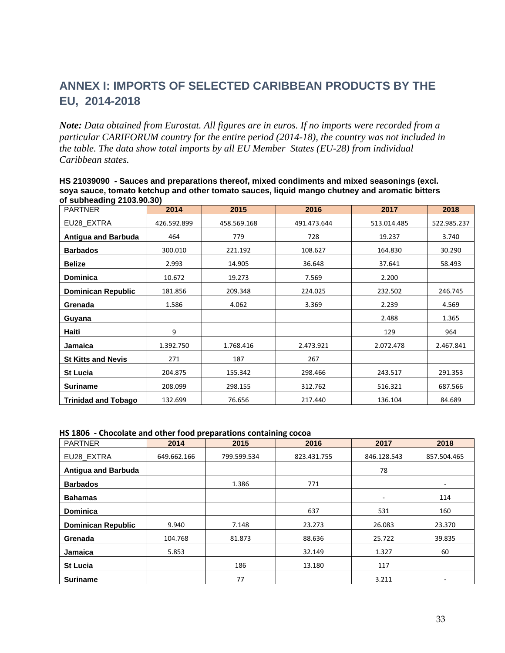## **ANNEX I: IMPORTS OF SELECTED CARIBBEAN PRODUCTS BY THE EU, 2014-2018**

<span id="page-35-0"></span>*Note: Data obtained from Eurostat. All figures are in euros. If no imports were recorded from a particular CARIFORUM country for the entire period (2014-18), the country was not included in the table. The data show total imports by all EU Member States (EU-28) from individual Caribbean states.*

| <b>PARTNER</b>             | 2014        | 2015        | 2016        | 2017        | 2018        |
|----------------------------|-------------|-------------|-------------|-------------|-------------|
| EU28_EXTRA                 | 426.592.899 | 458.569.168 | 491.473.644 | 513.014.485 | 522.985.237 |
| <b>Antigua and Barbuda</b> | 464         | 779         | 728         | 19.237      | 3.740       |
| <b>Barbados</b>            | 300.010     | 221.192     | 108.627     | 164.830     | 30.290      |
| <b>Belize</b>              | 2.993       | 14.905      | 36.648      | 37.641      | 58.493      |
| <b>Dominica</b>            | 10.672      | 19.273      | 7.569       | 2.200       |             |
| <b>Dominican Republic</b>  | 181.856     | 209.348     | 224.025     | 232.502     | 246.745     |
| Grenada                    | 1.586       | 4.062       | 3.369       | 2.239       | 4.569       |
| Guyana                     |             |             |             | 2.488       | 1.365       |
| Haiti                      | 9           |             |             | 129         | 964         |
| Jamaica                    | 1.392.750   | 1.768.416   | 2.473.921   | 2.072.478   | 2.467.841   |
| <b>St Kitts and Nevis</b>  | 271         | 187         | 267         |             |             |
| <b>St Lucia</b>            | 204.875     | 155.342     | 298.466     | 243.517     | 291.353     |
| <b>Suriname</b>            | 208.099     | 298.155     | 312.762     | 516.321     | 687.566     |
| <b>Trinidad and Tobago</b> | 132.699     | 76.656      | 217.440     | 136.104     | 84.689      |

**HS 21039090 - Sauces and preparations thereof, mixed condiments and mixed seasonings (excl. soya sauce, tomato ketchup and other tomato sauces, liquid mango chutney and aromatic bitters of subheading 2103.90.30)**

| HS 1806 - Chocolate and other food preparations containing cocoa |  |
|------------------------------------------------------------------|--|
|------------------------------------------------------------------|--|

| <b>PARTNER</b>             | 2014        | 2015        | 2016        | 2017        | 2018        |  |  |
|----------------------------|-------------|-------------|-------------|-------------|-------------|--|--|
| EU28_EXTRA                 | 649.662.166 | 799.599.534 | 823.431.755 | 846.128.543 | 857.504.465 |  |  |
| <b>Antigua and Barbuda</b> |             |             |             | 78          |             |  |  |
| <b>Barbados</b>            |             | 1.386       | 771         |             | ۰.          |  |  |
| <b>Bahamas</b>             |             |             |             | ٠           | 114         |  |  |
| <b>Dominica</b>            |             |             | 637<br>531  |             | 160         |  |  |
| <b>Dominican Republic</b>  | 9.940       | 7.148       | 23.273      | 26.083      | 23.370      |  |  |
| Grenada                    | 104.768     | 81.873      | 88.636      | 25.722      | 39.835      |  |  |
| <b>Jamaica</b>             | 5.853       |             | 32.149      | 1.327       | 60          |  |  |
| <b>St Lucia</b>            | 186         |             | 13.180      | 117         |             |  |  |
| <b>Suriname</b>            |             | 77          |             | 3.211       | ٠           |  |  |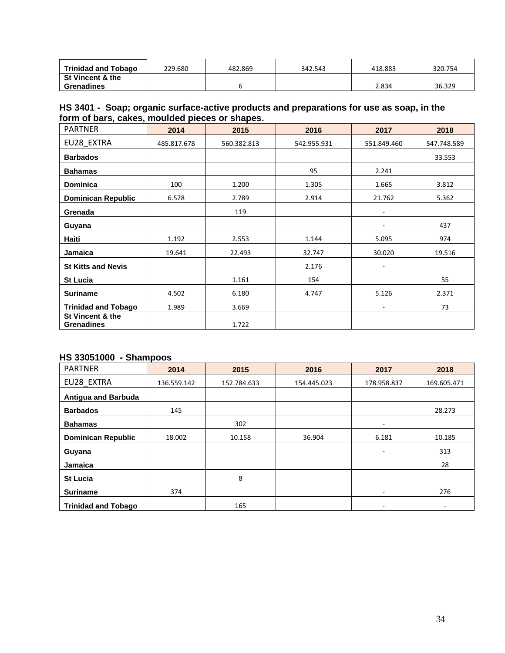| <b>Trinidad and Tobago</b>  | 229.680 | 482.869 | 342.543 | 418.883 | 320.754 |
|-----------------------------|---------|---------|---------|---------|---------|
| <b>St Vincent &amp; the</b> |         |         |         |         |         |
| <b>Grenadines</b>           |         |         |         | 2.834   | 36.329  |

#### **HS 3401 - Soap; organic surface-active products and preparations for use as soap, in the form of bars, cakes, moulded pieces or shapes.**

| <b>PARTNER</b>                        | 2014        | 2015        | 2016        | 2017                     | 2018        |
|---------------------------------------|-------------|-------------|-------------|--------------------------|-------------|
| EU28 EXTRA                            | 485.817.678 | 560.382.813 | 542.955.931 | 551.849.460              | 547.748.589 |
| <b>Barbados</b>                       |             |             |             |                          | 33.553      |
| <b>Bahamas</b>                        |             |             | 95          | 2.241                    |             |
| <b>Dominica</b>                       | 100         | 1.200       | 1.305       | 1.665                    | 3.812       |
| <b>Dominican Republic</b>             | 6.578       | 2.789       | 2.914       | 21.762                   | 5.362       |
| Grenada                               |             | 119         |             | ٠                        |             |
| Guyana                                |             |             |             | $\overline{\phantom{a}}$ | 437         |
| Haiti                                 | 1.192       | 2.553       | 1.144       | 5.095                    | 974         |
| Jamaica                               | 19.641      | 22.493      | 32.747      | 30.020                   | 19.516      |
| <b>St Kitts and Nevis</b>             |             |             | 2.176       | ٠                        |             |
| <b>St Lucia</b>                       |             | 1.161       | 154         |                          | 55          |
| <b>Suriname</b>                       | 4.502       | 6.180       | 4.747       | 5.126                    | 2.371       |
| <b>Trinidad and Tobago</b>            | 1.989       | 3.669       |             | ٠                        | 73          |
| St Vincent & the<br><b>Grenadines</b> |             | 1.722       |             |                          |             |

### **HS 33051000 - Shampoos**

| <b>PARTNER</b>             | 2014        | 2015        | 2016        | 2017        | 2018        |
|----------------------------|-------------|-------------|-------------|-------------|-------------|
| EU28_EXTRA                 | 136.559.142 | 152.784.633 | 154.445.023 | 178.958.837 | 169.605.471 |
| <b>Antigua and Barbuda</b> |             |             |             |             |             |
| <b>Barbados</b>            | 145         |             |             |             | 28.273      |
| <b>Bahamas</b>             |             | 302         |             | ٠           |             |
| <b>Dominican Republic</b>  | 18.002      | 10.158      | 36.904      | 6.181       | 10.185      |
| Guyana                     |             |             |             | ٠           | 313         |
| Jamaica                    |             |             |             |             | 28          |
| <b>St Lucia</b>            |             | 8           |             |             |             |
| <b>Suriname</b>            | 374         |             |             | ۰           | 276         |
| <b>Trinidad and Tobago</b> |             | 165         |             | ٠           | ٠           |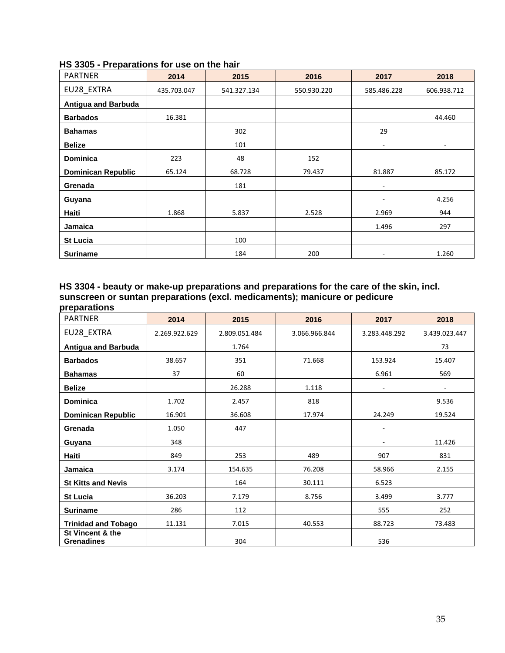| <b>PARTNER</b>             | 2014        | 2015        | 2016        | 2017              | 2018                     |  |
|----------------------------|-------------|-------------|-------------|-------------------|--------------------------|--|
| EU28_EXTRA                 | 435.703.047 | 541.327.134 | 550.930.220 | 585.486.228       | 606.938.712              |  |
| <b>Antigua and Barbuda</b> |             |             |             |                   |                          |  |
| <b>Barbados</b>            | 16.381      |             |             |                   | 44.460                   |  |
| <b>Bahamas</b>             |             | 302         |             | 29                |                          |  |
| <b>Belize</b>              |             | 101         |             | ٠                 | $\overline{\phantom{0}}$ |  |
| Dominica                   | 223         | 48          | 152         |                   |                          |  |
| <b>Dominican Republic</b>  | 65.124      | 68.728      | 79.437      | 81.887            | 85.172                   |  |
| Grenada                    |             | 181         |             | ٠                 |                          |  |
| Guyana                     |             |             |             | $\qquad \qquad -$ | 4.256                    |  |
| Haiti                      | 1.868       | 5.837       | 2.528       | 2.969             | 944                      |  |
| Jamaica                    |             |             |             | 1.496             | 297                      |  |
| <b>St Lucia</b>            |             | 100         |             |                   |                          |  |
| <b>Suriname</b>            |             | 184         | 200         | ۰                 | 1.260                    |  |

#### **HS 3305 - Preparations for use on the hair**

#### **HS 3304 - beauty or make-up preparations and preparations for the care of the skin, incl. sunscreen or suntan preparations (excl. medicaments); manicure or pedicure preparations**

| <b>PARTNER</b>                        | 2014          | 2015          | 2016             | 2017                     | 2018          |  |
|---------------------------------------|---------------|---------------|------------------|--------------------------|---------------|--|
| EU28_EXTRA                            | 2.269.922.629 | 2.809.051.484 | 3.066.966.844    | 3.283.448.292            | 3.439.023.447 |  |
| <b>Antigua and Barbuda</b>            |               | 1.764         |                  |                          | 73            |  |
| <b>Barbados</b>                       | 38.657        | 351           | 71.668           | 153.924                  | 15.407        |  |
| <b>Bahamas</b>                        | 37            | 60            |                  | 6.961                    | 569           |  |
| <b>Belize</b>                         |               | 26.288        | 1.118            | $\overline{\phantom{a}}$ | -             |  |
| <b>Dominica</b>                       | 1.702         | 2.457         | 818              |                          | 9.536         |  |
| <b>Dominican Republic</b>             | 16.901        | 36.608        | 17.974           | 24.249                   | 19.524        |  |
| Grenada                               | 1.050         | 447           |                  | $\sim$                   |               |  |
| Guyana                                | 348           |               |                  |                          | 11.426        |  |
| Haiti                                 | 849           | 253           | 489              | 907                      | 831           |  |
| Jamaica                               | 3.174         | 154.635       | 76.208           | 58.966                   | 2.155         |  |
| <b>St Kitts and Nevis</b>             |               | 164           | 30.111           | 6.523                    |               |  |
| <b>St Lucia</b>                       | 36.203        | 7.179         | 8.756            | 3.499                    | 3.777         |  |
| <b>Suriname</b>                       | 286           | 112           |                  | 555                      | 252           |  |
| <b>Trinidad and Tobago</b>            | 11.131        | 7.015         | 40.553<br>88.723 |                          | 73.483        |  |
| St Vincent & the<br><b>Grenadines</b> |               | 304           |                  | 536                      |               |  |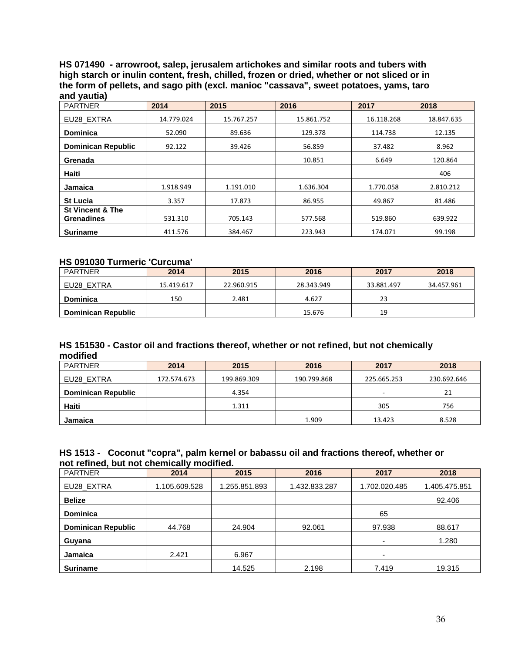**HS 071490 - arrowroot, salep, jerusalem artichokes and similar roots and tubers with high starch or inulin content, fresh, chilled, frozen or dried, whether or not sliced or in the form of pellets, and sago pith (excl. manioc "cassava", sweet potatoes, yams, taro and yautia)**

| <b>PARTNER</b>                                   | 2014       | 2015       | 2016       | 2017       | 2018       |
|--------------------------------------------------|------------|------------|------------|------------|------------|
| EU28 EXTRA                                       | 14.779.024 | 15.767.257 | 15.861.752 | 16.118.268 | 18.847.635 |
| <b>Dominica</b>                                  | 52.090     | 89.636     | 129.378    | 114.738    | 12.135     |
| <b>Dominican Republic</b>                        | 92.122     | 39.426     | 56.859     | 37.482     | 8.962      |
| Grenada                                          |            |            | 10.851     | 6.649      | 120.864    |
| <b>Haiti</b>                                     |            |            |            |            | 406        |
| <b>Jamaica</b>                                   | 1.918.949  | 1.191.010  | 1.636.304  | 1.770.058  | 2.810.212  |
| <b>St Lucia</b>                                  | 3.357      | 17.873     | 86.955     | 49.867     | 81.486     |
| <b>St Vincent &amp; The</b><br><b>Grenadines</b> | 531.310    | 705.143    | 577.568    | 519.860    | 639.922    |
| <b>Suriname</b>                                  | 411.576    | 384.467    | 223.943    | 174.071    | 99.198     |

#### **HS 091030 Turmeric 'Curcuma'**

| PARTNER                   | 2015<br>2014 |            | 2016       | 2017       | 2018       |
|---------------------------|--------------|------------|------------|------------|------------|
| EU28 EXTRA                | 15.419.617   | 22.960.915 | 28.343.949 | 33.881.497 | 34.457.961 |
| Dominica                  | 150          | 2.481      | 4.627      | 23         |            |
| <b>Dominican Republic</b> |              |            | 15.676     | 19         |            |

#### **HS 151530 - Castor oil and fractions thereof, whether or not refined, but not chemically modified**

| <b>PARTNER</b>            | 2014        | 2015        | 2016        | 2017        | 2018        |  |
|---------------------------|-------------|-------------|-------------|-------------|-------------|--|
| EU28 EXTRA                | 172.574.673 | 199.869.309 | 190.799.868 | 225.665.253 | 230.692.646 |  |
| <b>Dominican Republic</b> |             | 4.354       |             | -           | 21          |  |
| Haiti                     |             | 1.311       |             | 305         | 756         |  |
| Jamaica                   |             |             | 1.909       | 13.423      | 8.528       |  |

#### **HS 1513 - Coconut "copra", palm kernel or babassu oil and fractions thereof, whether or not refined, but not chemically modified.**

| <b>PARTNER</b>            | 2014          | 2015          | 2016          | 2017                     | 2018          |
|---------------------------|---------------|---------------|---------------|--------------------------|---------------|
| EU28 EXTRA                | 1.105.609.528 | 1.255.851.893 | 1.432.833.287 | 1.702.020.485            | 1.405.475.851 |
| <b>Belize</b>             |               |               |               |                          | 92.406        |
| <b>Dominica</b>           |               |               |               | 65                       |               |
| <b>Dominican Republic</b> | 44.768        | 24.904        | 92.061        | 97.938                   | 88.617        |
| Guyana                    |               |               |               | $\overline{\phantom{a}}$ | 1.280         |
| <b>Jamaica</b>            | 2.421         | 6.967         |               | $\overline{\phantom{0}}$ |               |
| <b>Suriname</b>           |               | 14.525        | 2.198         | 7.419                    | 19.315        |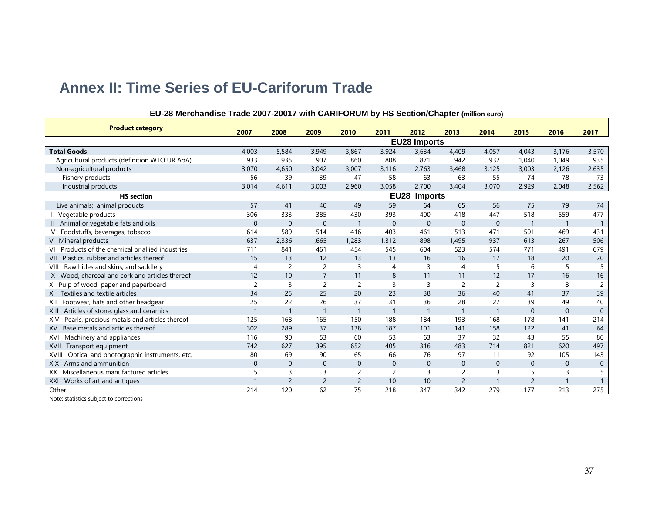# **Annex II: Time Series of EU-Cariforum Trade**

<span id="page-39-0"></span>

| <b>Product category</b>                                    | 2007           | 2008           | 2009           | 2010                     | 2011           | 2012                | 2013           | 2014           | 2015           | 2016           | 2017           |
|------------------------------------------------------------|----------------|----------------|----------------|--------------------------|----------------|---------------------|----------------|----------------|----------------|----------------|----------------|
|                                                            |                |                |                |                          |                | <b>EU28 Imports</b> |                |                |                |                |                |
| <b>Total Goods</b>                                         | 4,003          | 5,584          | 3,949          | 3,867                    | 3,924          | 3,634               | 4,409          | 4,057          | 4,043          | 3,176          | 3,570          |
| Agricultural products (definition WTO UR AoA)              | 933            | 935            | 907            | 860                      | 808            | 871                 | 942            | 932            | 1.040          | 1,049          | 935            |
| Non-agricultural products                                  | 3,070          | 4,650          | 3,042          | 3,007                    | 3,116          | 2,763               | 3,468          | 3,125          | 3,003          | 2,126          | 2,635          |
| Fishery products                                           | 56             | 39             | 39             | 47                       | 58             | 63                  | 63             | 55             | 74             | 78             | 73             |
| Industrial products                                        | 3,014          | 4,611          | 3,003          | 2,960                    | 3,058          | 2,700               | 3,404          | 3,070          | 2,929          | 2,048          | 2,562          |
| <b>HS</b> section                                          |                |                |                |                          | <b>EU28</b>    | <b>Imports</b>      |                |                |                |                |                |
| Live animals; animal products                              | 57             | 41             | 40             | 49                       | 59             | 64                  | 65             | 56             | 75             | 79             | 74             |
| Vegetable products<br>Ш                                    | 306            | 333            | 385            | 430                      | 393            | 400                 | 418            | 447            | 518            | 559            | 477            |
| III Animal or vegetable fats and oils                      | $\Omega$       | $\overline{0}$ | $\Omega$       | $\mathbf{1}$             | $\theta$       | $\Omega$            | $\mathbf{0}$   | $\mathbf{0}$   | $\mathbf{1}$   |                |                |
| Foodstuffs, beverages, tobacco<br>IV                       | 614            | 589            | 514            | 416                      | 403            | 461                 | 513            | 471            | 501            | 469            | 431            |
| V Mineral products                                         | 637            | 2,336          | 1,665          | 1,283                    | 1.312          | 898                 | 1,495          | 937            | 613            | 267            | 506            |
| VI Products of the chemical or allied industries           | 711            | 841            | 461            | 454                      | 545            | 604                 | 523            | 574            | 771            | 491            | 679            |
| VII Plastics, rubber and articles thereof                  | 15             | 13             | 12             | 13                       | 13             | 16                  | 16             | 17             | 18             | 20             | 20             |
| Raw hides and skins, and saddlery<br>VIII                  | 4              | $\overline{2}$ | $\overline{c}$ | 3                        | $\overline{4}$ | 3                   | 4              | 5              | 6              | 5              | -5             |
| IX Wood, charcoal and cork and articles thereof            | 12             | 10             | $\overline{7}$ | 11                       | 8              | 11                  | 11             | 12             | 17             | 16             | 16             |
| X Pulp of wood, paper and paperboard                       | $\overline{c}$ | $\overline{3}$ | $\overline{c}$ | $\overline{2}$           | $\overline{3}$ | $\overline{3}$      | $\overline{c}$ | $\overline{c}$ | 3              | $\overline{3}$ | $\overline{2}$ |
| XI Textiles and textile articles                           | 34             | 25             | 25             | 20                       | 23             | 38                  | 36             | 40             | 41             | 37             | 39             |
| Footwear, hats and other headgear<br>XII                   | 25             | 22             | 26             | 37                       | 31             | 36                  | 28             | 27             | 39             | 49             | 40             |
| Articles of stone, glass and ceramics<br>XIII              |                | $\overline{1}$ | $\mathbf{1}$   | $\mathbf{1}$             |                | $\overline{1}$      |                |                | $\mathbf{0}$   | $\Omega$       | $\overline{0}$ |
| Pearls, precious metals and articles thereof<br>XIV        | 125            | 168            | 165            | 150                      | 188            | 184                 | 193            | 168            | 178            | 141            | 214            |
| Base metals and articles thereof<br><b>XV</b>              | 302            | 289            | 37             | 138                      | 187            | 101                 | 141            | 158            | 122            | 41             | 64             |
| Machinery and appliances<br>XVI                            | 116            | 90             | 53             | 60                       | 53             | 63                  | 37             | 32             | 43             | 55             | 80             |
| Transport equipment<br><b>XVII</b>                         | 742            | 627            | 395            | 652                      | 405            | 316                 | 483            | 714            | 821            | 620            | 497            |
| Optical and photographic instruments, etc.<br><b>XVIII</b> | 80             | 69             | 90             | 65                       | 66             | 76                  | 97             | 111            | 92             | 105            | 143            |
| XIX Arms and ammunition                                    | $\Omega$       | $\mathbf 0$    | $\Omega$       | $\Omega$                 | $\mathbf 0$    | $\mathbf{0}$        | $\Omega$       | $\mathbf{0}$   | $\mathbf{0}$   | $\Omega$       | $\overline{0}$ |
| Miscellaneous manufactured articles<br>XX.                 |                | 3              | 3              | $\overline{c}$           | $\overline{2}$ | 3                   | $\overline{c}$ | 3              | 5              | 3              | 5              |
| XXI Works of art and antiques                              |                | $\overline{2}$ | $\overline{c}$ | $\overline{\phantom{0}}$ | 10             | 10                  | $\overline{2}$ |                | $\overline{2}$ |                |                |
| Other                                                      | 214            | 120            | 62             | 75                       | 218            | 347                 | 342            | 279            | 177            | 213            | 275            |

#### **EU-28 Merchandise Trade 2007-20017 with CARIFORUM by HS Section/Chapter (million euro)**

Note: statistics subject to corrections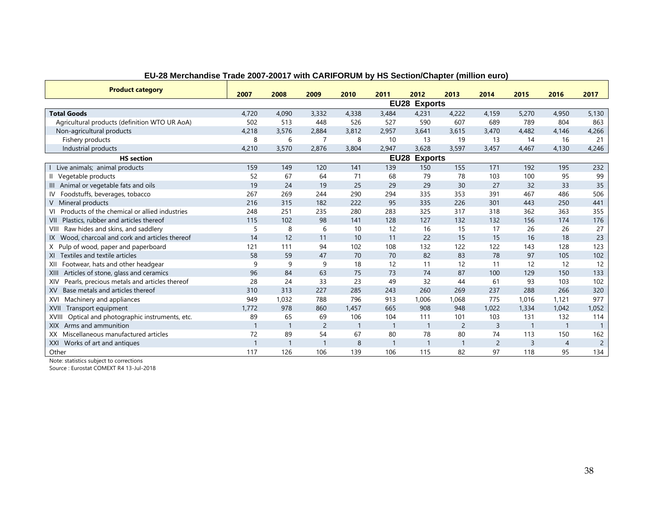| <b>Product category</b>                                    |       |              |                |                |                |              |       |                |                |                |                |
|------------------------------------------------------------|-------|--------------|----------------|----------------|----------------|--------------|-------|----------------|----------------|----------------|----------------|
|                                                            | 2007  | 2008         | 2009           | 2010           | 2011           | 2012         | 2013  | 2014           | 2015           | 2016           | 2017           |
| EU28 Exports                                               |       |              |                |                |                |              |       |                |                |                |                |
| <b>Total Goods</b>                                         | 4,720 | 4,090        | 3,332          | 4,338          | 3,484          | 4,231        | 4,222 | 4,159          | 5,270          | 4,950          | 5,130          |
| Agricultural products (definition WTO UR AoA)              | 502   | 513          | 448            | 526            | 527            | 590          | 607   | 689            | 789            | 804            | 863            |
| Non-agricultural products                                  | 4,218 | 3,576        | 2,884          | 3,812          | 2,957          | 3,641        | 3,615 | 3,470          | 4,482          | 4,146          | 4,266          |
| Fishery products                                           | 8     | 6            | $\overline{7}$ | 8              | 10             | 13           | 19    | 13             | 14             | 16             | 21             |
| Industrial products                                        | 4,210 | 3,570        | 2,876          | 3,804          | 2,947          | 3,628        | 3,597 | 3,457          | 4,467          | 4,130          | 4,246          |
| <b>HS</b> section                                          |       |              |                |                |                | EU28 Exports |       |                |                |                |                |
| Live animals; animal products                              | 159   | 149          | 120            | 141            | 139            | 150          | 155   | 171            | 192            | 195            | 232            |
| Vegetable products                                         | 52    | 67           | 64             | 71             | 68             | 79           | 78    | 103            | 100            | 95             | 99             |
| Animal or vegetable fats and oils                          | 19    | 24           | 19             | 25             | 29             | 29           | 30    | 27             | 32             | 33             | 35             |
| Foodstuffs, beverages, tobacco                             | 267   | 269          | 244            | 290            | 294            | 335          | 353   | 391            | 467            | 486            | 506            |
| V Mineral products                                         | 216   | 315          | 182            | 222            | 95             | 335          | 226   | 301            | 443            | 250            | 441            |
| Products of the chemical or allied industries              | 248   | 251          | 235            | 280            | 283            | 325          | 317   | 318            | 362            | 363            | 355            |
| Plastics, rubber and articles thereof<br>VII               | 115   | 102          | 98             | 141            | 128            | 127          | 132   | 132            | 156            | 174            | 176            |
| Raw hides and skins, and saddlery<br>VIII                  | 5     | 8            | 6              | 10             | 12             | 16           | 15    | 17             | 26             | 26             | 27             |
| IX Wood, charcoal and cork and articles thereof            | 14    | 12           | 11             | 10             | 11             | 22           | 15    | 15             | 16             | 18             | 23             |
| X Pulp of wood, paper and paperboard                       | 121   | 111          | 94             | 102            | 108            | 132          | 122   | 122            | 143            | 128            | 123            |
| XI Textiles and textile articles                           | 58    | 59           | 47             | 70             | 70             | 82           | 83    | 78             | 97             | 105            | 102            |
| Footwear, hats and other headgear<br>XII                   | 9     | 9            | 9              | 18             | 12             | 11           | 12    | 11             | 12             | 12             | 12             |
| Articles of stone, glass and ceramics<br>XIII              | 96    | 84           | 63             | 75             | 73             | 74           | 87    | 100            | 129            | 150            | 133            |
| Pearls, precious metals and articles thereof<br>XIV        | 28    | 24           | 33             | 23             | 49             | 32           | 44    | 61             | 93             | 103            | 102            |
| Base metals and articles thereof<br>XV.                    | 310   | 313          | 227            | 285            | 243            | 260          | 269   | 237            | 288            | 266            | 320            |
| Machinery and appliances<br>XVI                            | 949   | 1,032        | 788            | 796            | 913            | 1,006        | 1,068 | 775            | 1,016          | 1,121          | 977            |
| Transport equipment<br>XVII                                | 1.772 | 978          | 860            | 1,457          | 665            | 908          | 948   | 1.022          | 1,334          | 1,042          | 1,052          |
| Optical and photographic instruments, etc.<br><b>XVIII</b> | 89    | 65           | 69             | 106            | 104            | 111          | 101   | 103            | 131            | 132            | 114            |
| Arms and ammunition<br><b>XIX</b>                          |       | $\mathbf{1}$ | $\overline{2}$ | $\overline{1}$ | $\mathbf{1}$   | $\mathbf{1}$ | 2     | 3              | $\mathbf{1}$   |                |                |
| Miscellaneous manufactured articles<br>XX                  | 72    | 89           | 54             | 67             | 80             | 78           | 80    | 74             | 113            | 150            | 162            |
| Works of art and antiques<br>XXI                           |       |              |                | 8              | $\overline{1}$ |              |       | $\overline{2}$ | $\overline{3}$ | $\overline{4}$ | $\overline{c}$ |
| Other                                                      | 117   | 126          | 106            | 139            | 106            | 115          | 82    | 97             | 118            | 95             | 134            |

#### **EU-28 Merchandise Trade 2007-20017 with CARIFORUM by HS Section/Chapter (million euro)**

Note: statistics subject to corrections

Source : Eurostat COMEXT R4 13-Jul-2018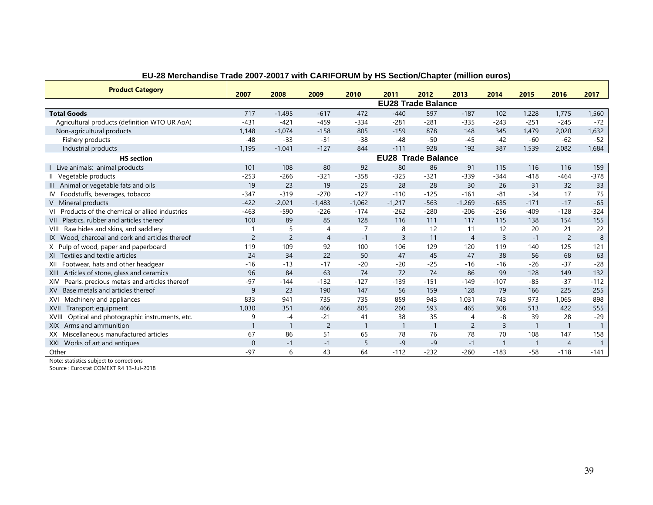| <b>Product Category</b>                             |                           |                |                |                |                           |                |                |                |        |                |                |
|-----------------------------------------------------|---------------------------|----------------|----------------|----------------|---------------------------|----------------|----------------|----------------|--------|----------------|----------------|
|                                                     | 2007                      | 2008           | 2009           | 2010           | 2011                      | 2012           | 2013           | 2014           | 2015   | 2016           | 2017           |
|                                                     | <b>EU28 Trade Balance</b> |                |                |                |                           |                |                |                |        |                |                |
| <b>Total Goods</b>                                  | 717                       | $-1.495$       | $-617$         | 472            | $-440$                    | 597            | $-187$         | 102            | 1,228  | 1.775          | 1,560          |
| Agricultural products (definition WTO UR AoA)       | $-431$                    | $-421$         | $-459$         | $-334$         | $-281$                    | $-281$         | $-335$         | $-243$         | $-251$ | $-245$         | $-72$          |
| Non-agricultural products                           | 1,148                     | $-1,074$       | $-158$         | 805            | $-159$                    | 878            | 148            | 345            | 1,479  | 2,020          | 1,632          |
| Fishery products                                    | $-48$                     | $-33$          | $-31$          | $-38$          | $-48$                     | $-50$          | $-45$          | $-42$          | $-60$  | $-62$          | $-52$          |
| Industrial products                                 | 1.195                     | $-1.041$       | $-127$         | 844            | $-111$                    | 928            | 192            | 387            | 1,539  | 2.082          | 1.684          |
| <b>HS</b> section                                   |                           |                |                |                | <b>EU28 Trade Balance</b> |                |                |                |        |                |                |
| Live animals; animal products                       | 101                       | 108            | 80             | 92             | 80                        | 86             | 91             | 115            | 116    | 116            | 159            |
| Il Vegetable products                               | $-253$                    | $-266$         | $-321$         | $-358$         | $-325$                    | $-321$         | $-339$         | $-344$         | $-418$ | $-464$         | $-378$         |
| III Animal or vegetable fats and oils               | 19                        | 23             | 19             | 25             | 28                        | 28             | 30             | 26             | 31     | 32             | 33             |
| Foodstuffs, beverages, tobacco<br>IV                | $-347$                    | $-319$         | $-270$         | $-127$         | $-110$                    | $-125$         | $-161$         | $-81$          | $-34$  | 17             | 75             |
| V Mineral products                                  | $-422$                    | $-2,021$       | $-1,483$       | $-1,062$       | $-1,217$                  | $-563$         | $-1,269$       | $-635$         | $-171$ | $-17$          | $-65$          |
| Products of the chemical or allied industries<br>VI | $-463$                    | $-590$         | $-226$         | $-174$         | $-262$                    | $-280$         | $-206$         | $-256$         | $-409$ | $-128$         | $-324$         |
| Plastics, rubber and articles thereof<br>VII        | 100                       | 89             | 85             | 128            | 116                       | 111            | 117            | 115            | 138    | 154            | 155            |
| Raw hides and skins, and saddlery<br>VIII           |                           | 5              | $\overline{4}$ | $\overline{7}$ | 8                         | 12             | 11             | 12             | 20     | 21             | 22             |
| IX Wood, charcoal and cork and articles thereof     | $\overline{2}$            | $\overline{2}$ | $\overline{4}$ | $-1$           | 3                         | 11             | $\overline{4}$ | $\overline{3}$ | $-1$   | $\overline{2}$ | 8              |
| X Pulp of wood, paper and paperboard                | 119                       | 109            | 92             | 100            | 106                       | 129            | 120            | 119            | 140    | 125            | 121            |
| XI Textiles and textile articles                    | 24                        | 34             | 22             | 50             | 47                        | 45             | 47             | 38             | 56     | 68             | 63             |
| Footwear, hats and other headgear<br>XII            | $-16$                     | $-13$          | $-17$          | $-20$          | $-20$                     | $-25$          | $-16$          | $-16$          | $-26$  | $-37$          | $-28$          |
| Articles of stone, glass and ceramics<br>XIII       | 96                        | 84             | 63             | 74             | 72                        | 74             | 86             | 99             | 128    | 149            | 132            |
| Pearls, precious metals and articles thereof<br>XIV | $-97$                     | $-144$         | $-132$         | $-127$         | $-139$                    | $-151$         | $-149$         | $-107$         | $-85$  | $-37$          | $-112$         |
| Base metals and articles thereof<br><b>XV</b>       | q                         | 23             | 190            | 147            | 56                        | 159            | 128            | 79             | 166    | 225            | 255            |
| Machinery and appliances<br>XVI                     | 833                       | 941            | 735            | 735            | 859                       | 943            | 1,031          | 743            | 973    | 1.065          | 898            |
| Transport equipment<br>XVII                         | 1,030                     | 351            | 466            | 805            | 260                       | 593            | 465            | 308            | 513    | 422            | 555            |
| Optical and photographic instruments, etc.<br>XVII  | 9                         | $-4$           | $-21$          | 41             | 38                        | 35             | $\overline{4}$ | -8             | 39     | 28             | $-29$          |
| Arms and ammunition<br>XIX                          |                           | $\overline{1}$ | $\overline{2}$ | $\mathbf{1}$   | $\mathbf{1}$              | $\overline{1}$ | $\overline{2}$ | $\overline{3}$ |        | $\mathbf{1}$   | $\overline{1}$ |
| Miscellaneous manufactured articles<br>XX.          | 67                        | 86             | 51             | 65             | 78                        | 76             | 78             | 70             | 108    | 147            | 158            |
| Works of art and antiques<br>XXI                    | $\Omega$                  | $-1$           | $-1$           | 5              | $-9$                      | $-9$           | $-1$           |                |        | $\overline{4}$ |                |
| Other                                               | $-97$                     | 6              | 43             | 64             | $-112$                    | $-232$         | $-260$         | $-183$         | $-58$  | $-118$         | $-141$         |

#### **EU-28 Merchandise Trade 2007-20017 with CARIFORUM by HS Section/Chapter (million euros)**

Note: statistics subject to corrections

Source : Eurostat COMEXT R4 13-Jul-2018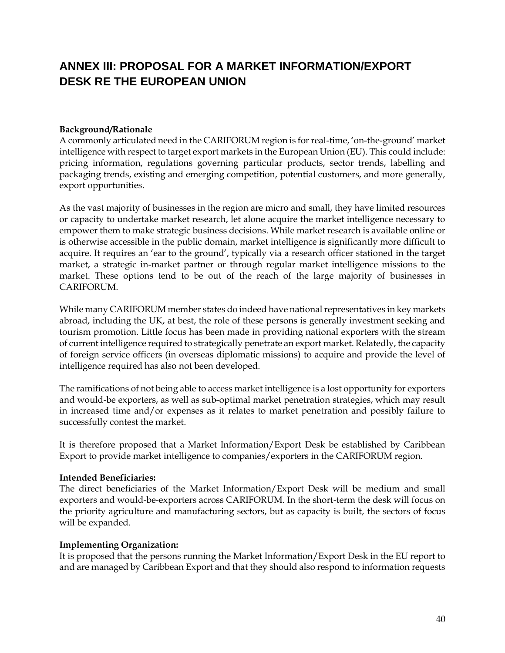## **ANNEX III: PROPOSAL FOR A MARKET INFORMATION/EXPORT DESK RE THE EUROPEAN UNION**

#### <span id="page-42-0"></span>**Background/Rationale**

A commonly articulated need in the CARIFORUM region is for real-time, 'on-the-ground' market intelligence with respect to target export markets in the European Union (EU). This could include: pricing information, regulations governing particular products, sector trends, labelling and packaging trends, existing and emerging competition, potential customers, and more generally, export opportunities.

As the vast majority of businesses in the region are micro and small, they have limited resources or capacity to undertake market research, let alone acquire the market intelligence necessary to empower them to make strategic business decisions. While market research is available online or is otherwise accessible in the public domain, market intelligence is significantly more difficult to acquire. It requires an 'ear to the ground', typically via a research officer stationed in the target market, a strategic in-market partner or through regular market intelligence missions to the market. These options tend to be out of the reach of the large majority of businesses in CARIFORUM.

While many CARIFORUM member states do indeed have national representatives in key markets abroad, including the UK, at best, the role of these persons is generally investment seeking and tourism promotion. Little focus has been made in providing national exporters with the stream of current intelligence required to strategically penetrate an export market. Relatedly, the capacity of foreign service officers (in overseas diplomatic missions) to acquire and provide the level of intelligence required has also not been developed.

The ramifications of not being able to access market intelligence is a lost opportunity for exporters and would-be exporters, as well as sub-optimal market penetration strategies, which may result in increased time and/or expenses as it relates to market penetration and possibly failure to successfully contest the market.

It is therefore proposed that a Market Information/Export Desk be established by Caribbean Export to provide market intelligence to companies/exporters in the CARIFORUM region.

#### **Intended Beneficiaries:**

The direct beneficiaries of the Market Information/Export Desk will be medium and small exporters and would-be-exporters across CARIFORUM. In the short-term the desk will focus on the priority agriculture and manufacturing sectors, but as capacity is built, the sectors of focus will be expanded.

#### **Implementing Organization:**

It is proposed that the persons running the Market Information/Export Desk in the EU report to and are managed by Caribbean Export and that they should also respond to information requests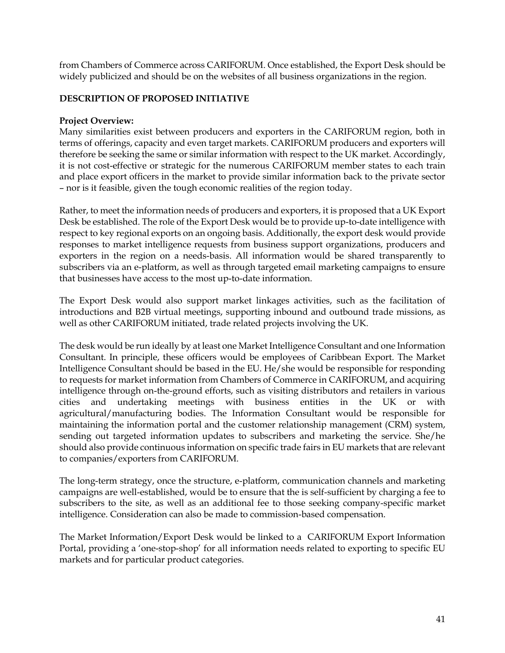from Chambers of Commerce across CARIFORUM. Once established, the Export Desk should be widely publicized and should be on the websites of all business organizations in the region.

#### **DESCRIPTION OF PROPOSED INITIATIVE**

#### **Project Overview:**

Many similarities exist between producers and exporters in the CARIFORUM region, both in terms of offerings, capacity and even target markets. CARIFORUM producers and exporters will therefore be seeking the same or similar information with respect to the UK market. Accordingly, it is not cost-effective or strategic for the numerous CARIFORUM member states to each train and place export officers in the market to provide similar information back to the private sector – nor is it feasible, given the tough economic realities of the region today.

Rather, to meet the information needs of producers and exporters, it is proposed that a UK Export Desk be established. The role of the Export Desk would be to provide up-to-date intelligence with respect to key regional exports on an ongoing basis. Additionally, the export desk would provide responses to market intelligence requests from business support organizations, producers and exporters in the region on a needs-basis. All information would be shared transparently to subscribers via an e-platform, as well as through targeted email marketing campaigns to ensure that businesses have access to the most up-to-date information.

The Export Desk would also support market linkages activities, such as the facilitation of introductions and B2B virtual meetings, supporting inbound and outbound trade missions, as well as other CARIFORUM initiated, trade related projects involving the UK.

The desk would be run ideally by at least one Market Intelligence Consultant and one Information Consultant. In principle, these officers would be employees of Caribbean Export. The Market Intelligence Consultant should be based in the EU. He/she would be responsible for responding to requests for market information from Chambers of Commerce in CARIFORUM, and acquiring intelligence through on-the-ground efforts, such as visiting distributors and retailers in various cities and undertaking meetings with business entities in the UK or with agricultural/manufacturing bodies. The Information Consultant would be responsible for maintaining the information portal and the customer relationship management (CRM) system, sending out targeted information updates to subscribers and marketing the service. She/he should also provide continuous information on specific trade fairs in EU markets that are relevant to companies/exporters from CARIFORUM.

The long-term strategy, once the structure, e-platform, communication channels and marketing campaigns are well-established, would be to ensure that the is self-sufficient by charging a fee to subscribers to the site, as well as an additional fee to those seeking company-specific market intelligence. Consideration can also be made to commission-based compensation.

The Market Information/Export Desk would be linked to a CARIFORUM Export Information Portal, providing a 'one-stop-shop' for all information needs related to exporting to specific EU markets and for particular product categories.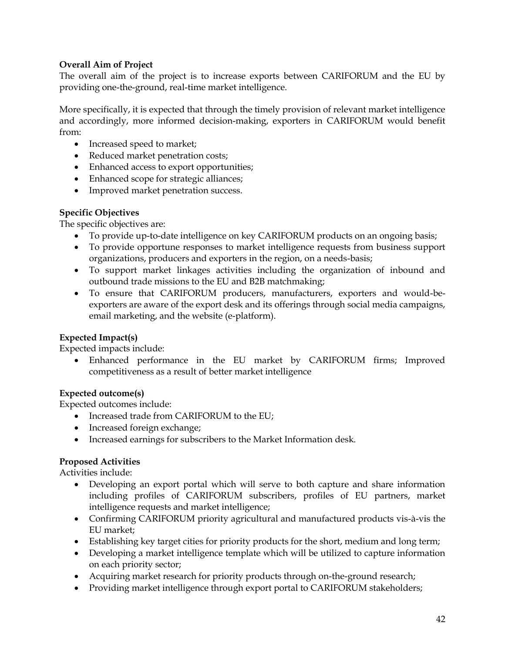#### **Overall Aim of Project**

The overall aim of the project is to increase exports between CARIFORUM and the EU by providing one-the-ground, real-time market intelligence.

More specifically, it is expected that through the timely provision of relevant market intelligence and accordingly, more informed decision-making, exporters in CARIFORUM would benefit from:

- Increased speed to market;
- Reduced market penetration costs;
- Enhanced access to export opportunities;
- Enhanced scope for strategic alliances;
- Improved market penetration success.

#### **Specific Objectives**

The specific objectives are:

- To provide up-to-date intelligence on key CARIFORUM products on an ongoing basis;
- To provide opportune responses to market intelligence requests from business support organizations, producers and exporters in the region, on a needs-basis;
- To support market linkages activities including the organization of inbound and outbound trade missions to the EU and B2B matchmaking;
- To ensure that CARIFORUM producers, manufacturers, exporters and would-beexporters are aware of the export desk and its offerings through social media campaigns, email marketing, and the website (e-platform).

#### **Expected Impact(s)**

Expected impacts include:

• Enhanced performance in the EU market by CARIFORUM firms; Improved competitiveness as a result of better market intelligence

#### **Expected outcome(s)**

Expected outcomes include:

- Increased trade from CARIFORUM to the EU;
- Increased foreign exchange;
- Increased earnings for subscribers to the Market Information desk.

#### **Proposed Activities**

Activities include:

- Developing an export portal which will serve to both capture and share information including profiles of CARIFORUM subscribers, profiles of EU partners, market intelligence requests and market intelligence;
- Confirming CARIFORUM priority agricultural and manufactured products vis-à-vis the EU market;
- Establishing key target cities for priority products for the short, medium and long term;
- Developing a market intelligence template which will be utilized to capture information on each priority sector;
- Acquiring market research for priority products through on-the-ground research;
- Providing market intelligence through export portal to CARIFORUM stakeholders;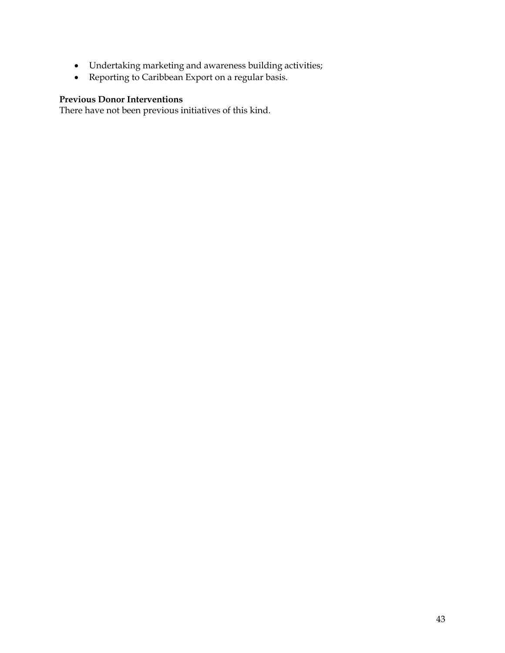- Undertaking marketing and awareness building activities;
- Reporting to Caribbean Export on a regular basis.

#### **Previous Donor Interventions**

There have not been previous initiatives of this kind.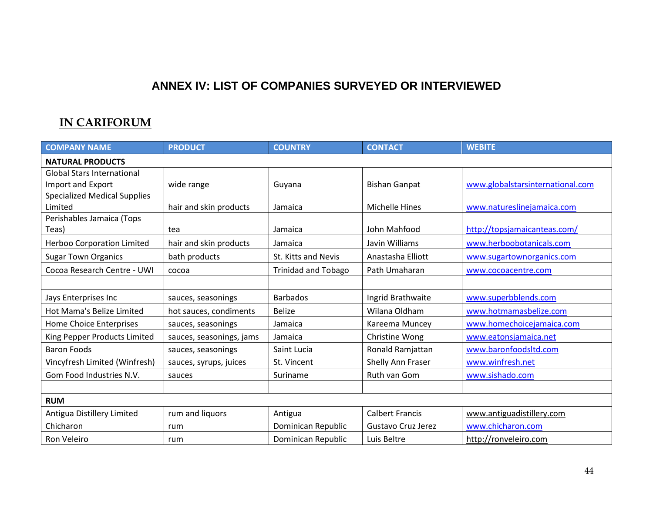## **ANNEX IV: LIST OF COMPANIES SURVEYED OR INTERVIEWED**

## **IN CARIFORUM**

<span id="page-46-0"></span>

| <b>COMPANY NAME</b>                 | <b>PRODUCT</b>           | <b>COUNTRY</b>             | <b>CONTACT</b>         | <b>WEBITE</b>                    |
|-------------------------------------|--------------------------|----------------------------|------------------------|----------------------------------|
| <b>NATURAL PRODUCTS</b>             |                          |                            |                        |                                  |
| <b>Global Stars International</b>   |                          |                            |                        |                                  |
| Import and Export                   | wide range               | Guyana                     | <b>Bishan Ganpat</b>   | www.globalstarsinternational.com |
| <b>Specialized Medical Supplies</b> |                          |                            |                        |                                  |
| Limited                             | hair and skin products   | Jamaica                    | <b>Michelle Hines</b>  | www.natureslinejamaica.com       |
| Perishables Jamaica (Tops           |                          |                            |                        |                                  |
| Teas)                               | tea                      | Jamaica                    | John Mahfood           | http://topsjamaicanteas.com/     |
| <b>Herboo Corporation Limited</b>   | hair and skin products   | Jamaica                    | Javin Williams         | www.herboobotanicals.com         |
| <b>Sugar Town Organics</b>          | bath products            | St. Kitts and Nevis        | Anastasha Elliott      | www.sugartownorganics.com        |
| Cocoa Research Centre - UWI         | cocoa                    | <b>Trinidad and Tobago</b> | Path Umaharan          | www.cocoacentre.com              |
|                                     |                          |                            |                        |                                  |
| Jays Enterprises Inc                | sauces, seasonings       | <b>Barbados</b>            | Ingrid Brathwaite      | www.superbblends.com             |
| Hot Mama's Belize Limited           | hot sauces, condiments   | <b>Belize</b>              | Wilana Oldham          | www.hotmamasbelize.com           |
| Home Choice Enterprises             | sauces, seasonings       | Jamaica                    | Kareema Muncey         | www.homechoicejamaica.com        |
| King Pepper Products Limited        | sauces, seasonings, jams | Jamaica                    | Christine Wong         | www.eatonsjamaica.net            |
| <b>Baron Foods</b>                  | sauces, seasonings       | Saint Lucia                | Ronald Ramjattan       | www.baronfoodsltd.com            |
| Vincyfresh Limited (Winfresh)       | sauces, syrups, juices   | St. Vincent                | Shelly Ann Fraser      | www.winfresh.net                 |
| Gom Food Industries N.V.            | sauces                   | Suriname                   | Ruth van Gom           | www.sishado.com                  |
|                                     |                          |                            |                        |                                  |
| <b>RUM</b>                          |                          |                            |                        |                                  |
| Antigua Distillery Limited          | rum and liquors          | Antigua                    | <b>Calbert Francis</b> | www.antiguadistillery.com        |
| Chicharon                           | rum                      | Dominican Republic         | Gustavo Cruz Jerez     | www.chicharon.com                |
| Ron Veleiro                         | rum                      | Dominican Republic         | Luis Beltre            | http://ronveleiro.com            |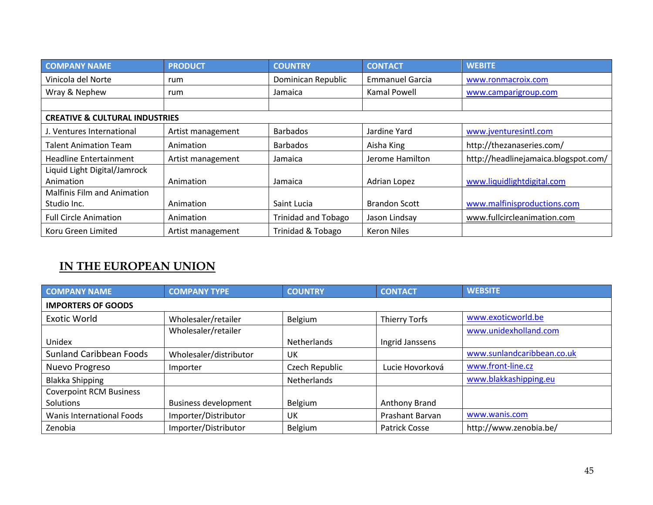| <b>COMPANY NAME</b>                       | <b>PRODUCT</b>    | <b>COUNTRY</b>             | <b>CONTACT</b>         | <b>WEBITE</b>                        |
|-------------------------------------------|-------------------|----------------------------|------------------------|--------------------------------------|
| Vinicola del Norte                        | rum               | Dominican Republic         | <b>Emmanuel Garcia</b> | www.ronmacroix.com                   |
| Wray & Nephew                             | rum               | Jamaica                    | <b>Kamal Powell</b>    | www.camparigroup.com                 |
|                                           |                   |                            |                        |                                      |
| <b>CREATIVE &amp; CULTURAL INDUSTRIES</b> |                   |                            |                        |                                      |
| J. Ventures International                 | Artist management | <b>Barbados</b>            | Jardine Yard           | www.jventuresintl.com                |
| <b>Talent Animation Team</b>              | Animation         | <b>Barbados</b>            | Aisha King             | http://thezanaseries.com/            |
| <b>Headline Entertainment</b>             | Artist management | Jamaica                    | Jerome Hamilton        | http://headlinejamaica.blogspot.com/ |
| Liquid Light Digital/Jamrock              |                   |                            |                        |                                      |
| Animation                                 | Animation         | Jamaica                    | Adrian Lopez           | www.liquidlightdigital.com           |
| <b>Malfinis Film and Animation</b>        |                   |                            |                        |                                      |
| Studio Inc.                               | Animation         | Saint Lucia                | <b>Brandon Scott</b>   | www.malfinisproductions.com          |
| <b>Full Circle Animation</b>              | Animation         | <b>Trinidad and Tobago</b> | Jason Lindsay          | www.fullcircleanimation.com          |
| Koru Green Limited                        | Artist management | Trinidad & Tobago          | <b>Keron Niles</b>     |                                      |

## **IN THE EUROPEAN UNION**

| <b>COMPANY NAME</b>            | <b>COMPANY TYPE</b>         | <b>COUNTRY</b>     | <b>CONTACT</b>         | <b>WEBSITE</b>             |
|--------------------------------|-----------------------------|--------------------|------------------------|----------------------------|
| <b>IMPORTERS OF GOODS</b>      |                             |                    |                        |                            |
| <b>Exotic World</b>            | Wholesaler/retailer         | Belgium            | Thierry Torfs          | www.exoticworld.be         |
|                                | Wholesaler/retailer         |                    |                        | www.unidexholland.com      |
| Unidex                         |                             | <b>Netherlands</b> | Ingrid Janssens        |                            |
| <b>Sunland Caribbean Foods</b> | Wholesaler/distributor      | UK                 |                        | www.sunlandcaribbean.co.uk |
| Nuevo Progreso                 | Importer                    | Czech Republic     | Lucie Hovorková        | www.front-line.cz          |
| <b>Blakka Shipping</b>         |                             | <b>Netherlands</b> |                        | www.blakkashipping.eu      |
| <b>Coverpoint RCM Business</b> |                             |                    |                        |                            |
| Solutions                      | <b>Business development</b> | Belgium            | Anthony Brand          |                            |
| Wanis International Foods      | Importer/Distributor        | UK                 | <b>Prashant Barvan</b> | www.wanis.com              |
| Zenobia                        | Importer/Distributor        | Belgium            | Patrick Cosse          | http://www.zenobia.be/     |